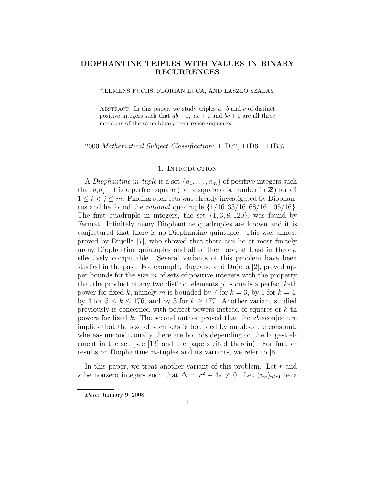## DIOPHANTINE TRIPLES WITH VALUES IN BINARY RECURRENCES

CLEMENS FUCHS, FLORIAN LUCA, AND LASZLO SZALAY

ABSTRACT. In this paper, we study triples  $a, b$  and  $c$  of distinct positive integers such that  $ab + 1$ ,  $ac + 1$  and  $bc + 1$  are all three members of the same binary recurrence sequence.

2000 Mathematical Subject Classification: 11D72, 11D61, 11B37

## 1. INTRODUCTION

A *Diophantine* m-tuple is a set  $\{a_1, \ldots, a_m\}$  of positive integers such that  $a_i a_j + 1$  is a perfect square (i.e. a square of a number in  $\mathbb{Z}$ ) for all  $1 \leq i < j \leq m$ . Finding such sets was already investigated by Diophantus and he found the *rational* quadruple  $\{1/16, 33/16, 68/16, 105/16\}.$ The first quadruple in integers, the set  $\{1, 3, 8, 120\}$ , was found by Fermat. Infinitely many Diophantine quadruples are known and it is conjectured that there is no Diophantine quintuple. This was almost proved by Dujella [7], who showed that there can be at most finitely many Diophantine quintuples and all of them are, at least in theory, effectively computable. Several variants of this problem have been studied in the past. For example, Bugeaud and Dujella [2], proved upper bounds for the size  $m$  of sets of positive integers with the property that the product of any two distinct elements plus one is a perfect k-th power for fixed k, namely m is bounded by 7 for  $k = 3$ , by 5 for  $k = 4$ , by 4 for  $5 \leq k \leq 176$ , and by 3 for  $k > 177$ . Another variant studied previously is concerned with perfect powers instead of squares or k-th powers for fixed  $k$ . The second author proved that the *abc*-conjecture implies that the size of such sets is bounded by an absolute constant, whereas unconditionally there are bounds depending on the largest element in the set (see [13] and the papers cited therein). For further results on Diophantine m-tuples and its variants, we refer to [8].

In this paper, we treat another variant of this problem. Let  $r$  and s be nonzero integers such that  $\Delta = r^2 + 4s \neq 0$ . Let  $(u_n)_{n\geq 0}$  be a

Date: January 9, 2008.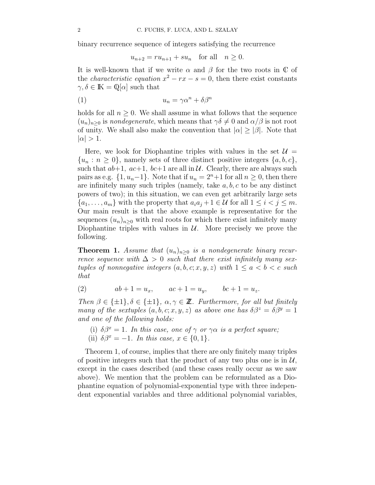binary recurrence sequence of integers satisfying the recurrence

$$
u_{n+2} = ru_{n+1} + su_n \quad \text{for all} \quad n \ge 0.
$$

It is well-known that if we write  $\alpha$  and  $\beta$  for the two roots in  $\mathbb C$  of the *characteristic equation*  $x^2 - rx - s = 0$ , then there exist constants  $\gamma, \delta \in \mathbb{K} = \mathbb{Q}[\alpha]$  such that

$$
(1) \t\t u_n = \gamma \alpha^n + \delta \beta^n
$$

holds for all  $n \geq 0$ . We shall assume in what follows that the sequence  $(u_n)_{n\geq 0}$  is nondegenerate, which means that  $\gamma\delta\neq 0$  and  $\alpha/\beta$  is not root of unity. We shall also make the convention that  $|\alpha| \geq |\beta|$ . Note that  $|\alpha| > 1$ .

Here, we look for Diophantine triples with values in the set  $\mathcal{U} =$  $\{u_n : n \geq 0\}$ , namely sets of three distinct positive integers  $\{a, b, c\}$ , such that  $ab+1$ ,  $ac+1$ ,  $bc+1$  are all in  $U$ . Clearly, there are always such pairs as e.g.  $\{1, u_n-1\}$ . Note that if  $u_n = 2^n + 1$  for all  $n \ge 0$ , then there are infinitely many such triples (namely, take  $a, b, c$  to be any distinct powers of two); in this situation, we can even get arbitrarily large sets  $\{a_1, \ldots, a_m\}$  with the property that  $a_i a_j + 1 \in \mathcal{U}$  for all  $1 \leq i < j \leq m$ . Our main result is that the above example is representative for the sequences  $(u_n)_{n>0}$  with real roots for which there exist infinitely many Diophantine triples with values in  $U$ . More precisely we prove the following.

**Theorem 1.** Assume that  $(u_n)_{n\geq 0}$  is a nondegenerate binary recurrence sequence with  $\Delta > 0$  such that there exist infinitely many sextuples of nonnegative integers  $(a, b, c; x, y, z)$  with  $1 \le a \le b \le c$  such that

(2)  $ab + 1 = u_x$ ,  $ac + 1 = u_y$ ,  $bc + 1 = u_z$ .

Then  $\beta \in {\pm 1}$ ,  $\delta \in {\pm 1}$ ,  $\alpha, \gamma \in \mathbb{Z}$ . Furthermore, for all but finitely many of the sextuples  $(a, b, c; x, y, z)$  as above one has  $\delta \beta^z = \delta \beta^y = 1$ and one of the following holds:

(i)  $\delta\beta^x = 1$ . In this case, one of  $\gamma$  or  $\gamma\alpha$  is a perfect square; (ii)  $\delta \beta^x = -1$ . In this case,  $x \in \{0, 1\}$ .

Theorem 1, of course, implies that there are only finitely many triples of positive integers such that the product of any two plus one is in  $\mathcal{U}$ , except in the cases described (and these cases really occur as we saw above). We mention that the problem can be reformulated as a Diophantine equation of polynomial-exponential type with three independent exponential variables and three additional polynomial variables,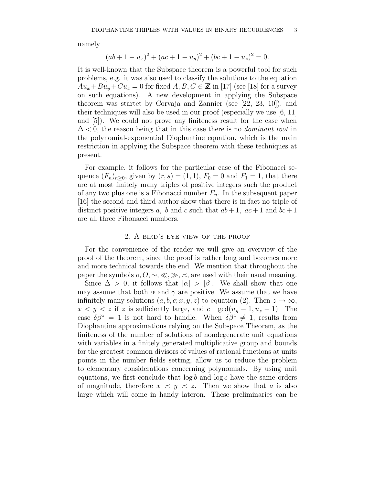namely

$$
(ab + 1 - u_x)^2 + (ac + 1 - u_y)^2 + (bc + 1 - u_z)^2 = 0.
$$

It is well-known that the Subspace theorem is a powerful tool for such problems, e.g. it was also used to classify the solutions to the equation  $Au_x + Bu_y + Cu_z = 0$  for fixed  $A, B, C \in \mathbb{Z}$  in [17] (see [18] for a survey on such equations). A new development in applying the Subspace theorem was startet by Corvaja and Zannier (see [22, 23, 10]), and their techniques will also be used in our proof (especially we use [6, 11] and [5]). We could not prove any finiteness result for the case when  $\Delta$  < 0, the reason being that in this case there is no *dominant root* in the polynomial-exponential Diophantine equation, which is the main restriction in applying the Subspace theorem with these techniques at present.

For example, it follows for the particular case of the Fibonacci sequence  $(F_n)_{n>0}$ , given by  $(r, s) = (1, 1)$ ,  $F_0 = 0$  and  $F_1 = 1$ , that there are at most finitely many triples of positive integers such the product of any two plus one is a Fibonacci number  $F_n$ . In the subsequent paper [16] the second and third author show that there is in fact no triple of distinct positive integers a, b and c such that  $ab + 1$ ,  $ac + 1$  and  $bc + 1$ are all three Fibonacci numbers.

### 2. A bird's-eye-view of the proof

For the convenience of the reader we will give an overview of the proof of the theorem, since the proof is rather long and becomes more and more technical towards the end. We mention that throughout the paper the symbols  $o, O, \sim, \ll, \gg, \asymp$ , are used with their usual meaning.

Since  $\Delta > 0$ , it follows that  $|\alpha| > |\beta|$ . We shall show that one may assume that both  $\alpha$  and  $\gamma$  are positive. We assume that we have infinitely many solutions  $(a, b, c; x, y, z)$  to equation (2). Then  $z \to \infty$ ,  $x < y < z$  if z is sufficiently large, and c | gcd( $u_y - 1, u_z - 1$ ). The case  $\delta\beta^z = 1$  is not hard to handle. When  $\delta\beta^z \neq 1$ , results from Diophantine approximations relying on the Subspace Theorem, as the finiteness of the number of solutions of nondegenerate unit equations with variables in a finitely generated multiplicative group and bounds for the greatest common divisors of values of rational functions at units points in the number fields setting, allow us to reduce the problem to elementary considerations concerning polynomials. By using unit equations, we first conclude that  $\log b$  and  $\log c$  have the same orders of magnitude, therefore  $x \leq y \leq z$ . Then we show that a is also large which will come in handy lateron. These preliminaries can be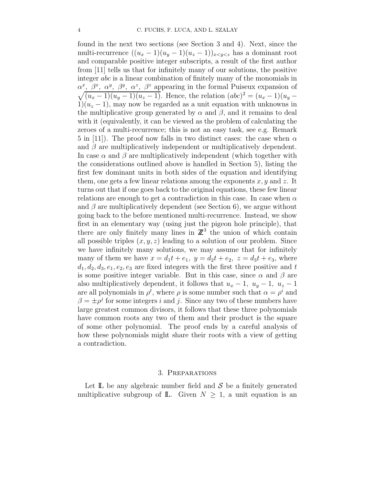found in the next two sections (see Section 3 and 4). Next, since the multi-recurrence  $((u_x-1)(u_y-1)(u_z-1))_{x\leq y\leq z}$  has a dominant root and comparable positive integer subscripts, a result of the first author from [11] tells us that for infinitely many of our solutions, the positive integer abc is a linear combination of finitely many of the monomials in  $\alpha^x$ ,  $\beta^x$ ,  $\alpha^y$ ,  $\beta^y$ ,  $\alpha^z$ ,  $\beta^z$  appearing in the formal Puiseux expansion of  $\sqrt{(u_x - 1)(u_y - 1)(u_z - 1)}$ . Hence, the relation  $(abc)^2 = (u_x - 1)(u_y - 1)(u_z - 1)(u_z - 1)$  $1(u_z - 1)$ , may now be regarded as a unit equation with unknowns in the multiplicative group generated by  $\alpha$  and  $\beta$ , and it remains to deal with it (equivalently, it can be viewed as the problem of calculating the zeroes of a multi-recurrence; this is not an easy task, see e.g. Remark 5 in [11]). The proof now falls in two distinct cases: the case when  $\alpha$ and  $\beta$  are multiplicatively independent or multiplicatively dependent. In case  $\alpha$  and  $\beta$  are multiplicatively independent (which together with the considerations outlined above is handled in Section 5), listing the first few dominant units in both sides of the equation and identifying them, one gets a few linear relations among the exponents  $x, y$  and  $z$ . It turns out that if one goes back to the original equations, these few linear relations are enough to get a contradiction in this case. In case when  $\alpha$ and  $\beta$  are multiplicatively dependent (see Section 6), we argue without going back to the before mentioned multi-recurrence. Instead, we show first in an elementary way (using just the pigeon hole principle), that there are only finitely many lines in  $\mathbb{Z}^3$  the union of which contain all possible triples  $(x, y, z)$  leading to a solution of our problem. Since we have infinitely many solutions, we may assume that for infinitely many of them we have  $x = d_1t + e_1$ ,  $y = d_2t + e_2$ ,  $z = d_3t + e_3$ , where  $d_1, d_2, d_3, e_1, e_2, e_3$  are fixed integers with the first three positive and t is some positive integer variable. But in this case, since  $\alpha$  and  $\beta$  are also multiplicatively dependent, it follows that  $u_x - 1$ ,  $u_y - 1$ ,  $u_z - 1$ are all polynomials in  $\rho^t$ , where  $\rho$  is some number such that  $\alpha = \rho^i$  and  $\beta = \pm \rho^j$  for some integers i and j. Since any two of these numbers have large greatest common divisors, it follows that these three polynomials have common roots any two of them and their product is the square of some other polynomial. The proof ends by a careful analysis of how these polynomials might share their roots with a view of getting a contradiction.

### 3. Preparations

Let  $\mathbb L$  be any algebraic number field and S be a finitely generated multiplicative subgroup of  $\mathbb{L}$ . Given  $N \geq 1$ , a unit equation is an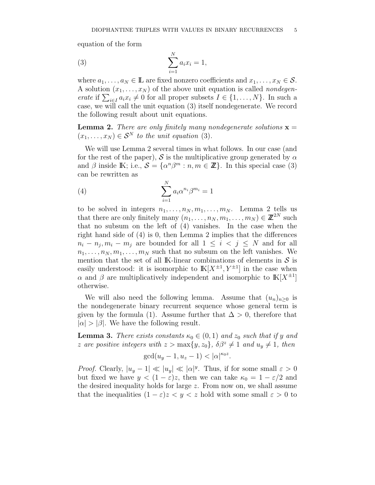equation of the form

(3) 
$$
\sum_{i=1}^{N} a_i x_i = 1,
$$

where  $a_1, \ldots, a_N \in \mathbb{L}$  are fixed nonzero coefficients and  $x_1, \ldots, x_N \in \mathcal{S}$ . A solution  $(x_1, \ldots, x_N)$  of the above unit equation is called *nondegenerate* if  $\sum_{i\in I} a_i x_i \neq 0$  for all proper subsets  $I \in \{1, ..., N\}$ . In such a case, we will call the unit equation (3) itself nondegenerate. We record the following result about unit equations.

**Lemma 2.** There are only finitely many nondegenerate solutions  $x =$  $(x_1, \ldots, x_N) \in S^N$  to the unit equation (3).

We will use Lemma 2 several times in what follows. In our case (and for the rest of the paper), S is the multiplicative group generated by  $\alpha$ and  $\beta$  inside K; i.e.,  $\mathcal{S} = {\alpha^n \beta^m : n, m \in \mathbb{Z}}$ . In this special case (3) can be rewritten as

(4) 
$$
\sum_{i=1}^{N} a_i \alpha^{n_i} \beta^{m_i} = 1
$$

to be solved in integers  $n_1, \ldots, n_N, m_1, \ldots, m_N$ . Lemma 2 tells us that there are only finitely many  $(n_1, \ldots, n_N, m_1, \ldots, m_N) \in \mathbb{Z}^{2N}$  such that no subsum on the left of (4) vanishes. In the case when the right hand side of (4) is 0, then Lemma 2 implies that the differences  $n_i - n_j$ ,  $m_i - m_j$  are bounded for all  $1 \leq i \leq j \leq N$  and for all  $n_1, \ldots, n_N, m_1, \ldots, m_N$  such that no subsum on the left vanishes. We mention that the set of all IK-linear combinations of elements in  $\mathcal S$  is easily understood: it is isomorphic to  $\mathbb{K}[X^{\pm 1}, Y^{\pm 1}]$  in the case when  $\alpha$  and  $\beta$  are multiplicatively independent and isomorphic to  $\mathbb{K}[X^{\pm 1}]$ otherwise.

We will also need the following lemma. Assume that  $(u_n)_{n>0}$  is the nondegenerate binary recurrent sequence whose general term is given by the formula (1). Assume further that  $\Delta > 0$ , therefore that  $|\alpha| > |\beta|$ . We have the following result.

**Lemma 3.** There exists constants  $\kappa_0 \in (0,1)$  and  $z_0$  such that if y and z are positive integers with  $z > \max\{y, z_0\}$ ,  $\delta\beta^z \neq 1$  and  $u_y \neq 1$ , then

$$
\gcd(u_y - 1, u_z - 1) < |\alpha|^{\kappa_0 z}.
$$

*Proof.* Clearly,  $|u_y - 1| \ll |u_y| \ll |\alpha|^y$ . Thus, if for some small  $\varepsilon > 0$ but fixed we have  $y < (1 - \varepsilon)z$ , then we can take  $\kappa_0 = 1 - \varepsilon/2$  and the desired inequality holds for large z. From now on, we shall assume that the inequalities  $(1 - \varepsilon)z < y < z$  hold with some small  $\varepsilon > 0$  to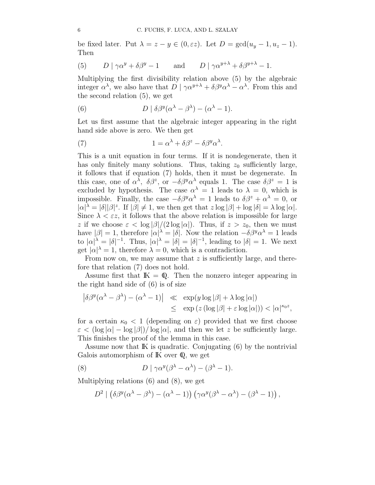be fixed later. Put  $\lambda = z - y \in (0, \varepsilon z)$ . Let  $D = \gcd(u_y - 1, u_z - 1)$ . Then

(5) 
$$
D|\gamma\alpha^y + \delta\beta^y - 1
$$
 and  $D|\gamma\alpha^{y+\lambda} + \delta\beta^{y+\lambda} - 1$ .

Multiplying the first divisibility relation above (5) by the algebraic integer  $\alpha^{\lambda}$ , we also have that  $D | \gamma \alpha^{y+\lambda} + \delta \beta^y \alpha^{\lambda} - \alpha^{\lambda}$ . From this and the second relation (5), we get

(6) 
$$
D | \delta \beta^{y} (\alpha^{\lambda} - \beta^{\lambda}) - (\alpha^{\lambda} - 1).
$$

Let us first assume that the algebraic integer appearing in the right hand side above is zero. We then get

(7) 
$$
1 = \alpha^{\lambda} + \delta \beta^{z} - \delta \beta^{y} \alpha^{\lambda}.
$$

This is a unit equation in four terms. If it is nondegenerate, then it has only finitely many solutions. Thus, taking  $z_0$  sufficiently large, it follows that if equation (7) holds, then it must be degenerate. In this case, one of  $\alpha^{\lambda}$ ,  $\delta\beta^z$ , or  $-\delta\beta^y\alpha^{\lambda}$  equals 1. The case  $\delta\beta^z = 1$  is excluded by hypothesis. The case  $\alpha^{\lambda} = 1$  leads to  $\lambda = 0$ , which is impossible. Finally, the case  $-\delta\beta^y\alpha^{\lambda} = 1$  leads to  $\delta\beta^z + \alpha^{\lambda} = 0$ , or  $|\alpha|^{\lambda} = |\delta||\beta|^z$ . If  $|\beta| \neq 1$ , we then get that  $z \log |\beta| + \log |\delta| = \lambda \log |\alpha|$ . Since  $\lambda < \varepsilon z$ , it follows that the above relation is impossible for large z if we choose  $\varepsilon < \log |\beta|/(2 \log |\alpha|)$ . Thus, if  $z > z_0$ , then we must have  $|\beta|=1$ , therefore  $|\alpha|^{\lambda}=|\delta|$ . Now the relation  $-\delta\beta^y\alpha^{\lambda}=1$  leads to  $|\alpha|^{\lambda} = |\delta|^{-1}$ . Thus,  $|\alpha|^{\lambda} = |\delta| = |\delta|^{-1}$ , leading to  $|\delta| = 1$ . We next get  $|\alpha|^{\lambda} = 1$ , therefore  $\lambda = 0$ , which is a contradiction.

From now on, we may assume that z is sufficiently large, and therefore that relation (7) does not hold.

Assume first that  $\mathbb{K} = \mathbb{Q}$ . Then the nonzero integer appearing in the right hand side of (6) is of size

$$
\left| \delta \beta^y (\alpha^\lambda - \beta^\lambda) - (\alpha^\lambda - 1) \right| \ll \exp(y \log |\beta| + \lambda \log |\alpha|)
$$
  

$$
\leq \exp(z (\log |\beta| + \varepsilon \log |\alpha|)) < |\alpha|^{\kappa_0 z},
$$

for a certain  $\kappa_0 < 1$  (depending on  $\varepsilon$ ) provided that we first choose  $\varepsilon < (\log |\alpha| - \log |\beta|)/ \log |\alpha|$ , and then we let z be sufficiently large. This finishes the proof of the lemma in this case.

Assume now that IK is quadratic. Conjugating (6) by the nontrivial Galois automorphism of IK over Q, we get

(8) 
$$
D \mid \gamma \alpha^{y} (\beta^{\lambda} - \alpha^{\lambda}) - (\beta^{\lambda} - 1).
$$

Multiplying relations (6) and (8), we get

$$
D^{2} | (\delta \beta^{y} (\alpha^{\lambda} - \beta^{\lambda}) - (\alpha^{\lambda} - 1)) (\gamma \alpha^{y} (\beta^{\lambda} - \alpha^{\lambda}) - (\beta^{\lambda} - 1)),
$$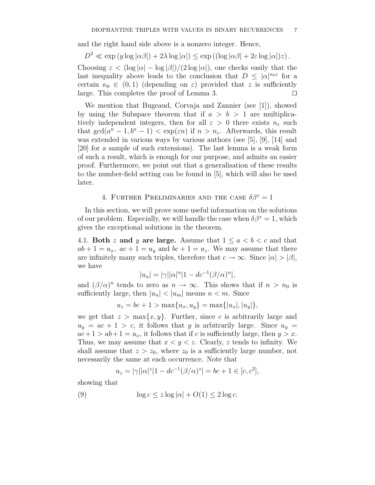and the right hand side above is a nonzero integer. Hence,

$$
D^2 \ll \exp\left(y \log|\alpha \beta|\right) + 2\lambda \log|\alpha|\right) \le \exp\left((\log|\alpha \beta| + 2\varepsilon \log|\alpha|\right)z).
$$

Choosing  $\varepsilon < (\log |\alpha| - \log |\beta|)/(2 \log |\alpha|)$ , one checks easily that the last inequality above leads to the conclusion that  $D \leq |\alpha|^{\kappa_0 z}$  for a certain  $\kappa_0 \in (0,1)$  (depending on  $\varepsilon$ ) provided that z is sufficiently large. This completes the proof of Lemma 3.  $\Box$ 

We mention that Bugeaud, Corvaja and Zannier (see [1]), showed by using the Subspace theorem that if  $a > b > 1$  are multiplicatively independent integers, then for all  $\varepsilon > 0$  there exists  $n_{\varepsilon}$  such that  $gcd(a^n - 1, b^n - 1) < exp(\varepsilon n)$  if  $n > n_{\varepsilon}$ . Afterwards, this result was extended in various ways by various authors (see [5], [9], [14] and [20] for a sample of such extensions). The last lemma is a weak form of such a result, which is enough for our purpose, and admits an easier proof. Furthermore, we point out that a generalisation of these results to the number-field setting can be found in [5], which will also be used later.

# 4. FURTHER PRELIMINARIES AND THE CASE  $\delta\beta^z = 1$

In this section, we will prove some useful information on the solutions of our problem. Especially, we will handle the case when  $\delta\beta^z = 1$ , which gives the exceptional solutions in the theorem.

4.1. Both z and y are large. Assume that  $1 \le a \le b \le c$  and that  $ab + 1 = u_x$ ,  $ac + 1 = u_y$  and  $bc + 1 = u_z$ . We may assume that there are infinitely many such triples, therefore that  $c \to \infty$ . Since  $|\alpha| > |\beta|$ , we have

$$
|u_n| = |\gamma| |\alpha|^n |1 - d c^{-1} (\beta/\alpha)^n|,
$$

and  $(\beta/\alpha)^n$  tends to zero as  $n \to \infty$ . This shows that if  $n > n_0$  is sufficiently large, then  $|u_n| < |u_m|$  means  $n < m$ . Since

$$
u_z = bc + 1 > \max\{u_x, u_y\} = \max\{|u_x|, |u_y|\},\
$$

we get that  $z > \max\{x, y\}$ . Further, since c is arbitrarily large and  $u_y = ac + 1 > c$ , it follows that y is arbitrarily large. Since  $u_y =$  $ac+1 > ab+1 = u_x$ , it follows that if c is sufficiently large, then  $y > x$ . Thus, we may assume that  $x < y < z$ . Clearly, z tends to infinity. We shall assume that  $z > z_0$ , where  $z_0$  is a sufficiently large number, not necessarily the same at each occurrence. Note that

$$
u_z = |\gamma| |\alpha|^z |1 - dc^{-1} (\beta/\alpha)^z| = bc + 1 \in [c, c^2],
$$

showing that

(9) 
$$
\log c \le z \log |\alpha| + O(1) \le 2 \log c.
$$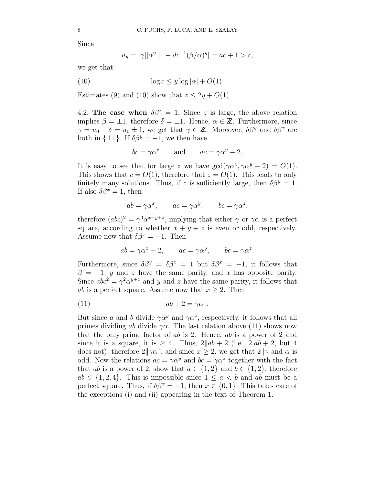Since

$$
u_y = |\gamma| |\alpha^y| |1 - d c^{-1} (\beta/\alpha)^y| = ac + 1 > c,
$$

we get that

(10) 
$$
\log c \le y \log |\alpha| + O(1).
$$

Estimates (9) and (10) show that  $z \leq 2y + O(1)$ .

4.2. The case when  $\delta\beta^z = 1$ . Since z is large, the above relation implies  $\beta = \pm 1$ , therefore  $\delta = \pm 1$ . Hence,  $\alpha \in \mathbb{Z}$ . Furthermore, since  $\gamma = u_0 - \delta = u_0 \pm 1$ , we get that  $\gamma \in \mathbb{Z}$ . Moreover,  $\delta \beta^y$  and  $\delta \beta^x$  are both in  $\{\pm 1\}$ . If  $\delta \beta^y = -1$ , we then have

$$
bc = \gamma \alpha^z
$$
 and  $ac = \gamma \alpha^y - 2$ .

It is easy to see that for large z we have  $gcd(\gamma \alpha^z, \gamma \alpha^y - 2) = O(1)$ . This shows that  $c = O(1)$ , therefore that  $z = O(1)$ . This leads to only finitely many solutions. Thus, if z is sufficiently large, then  $\delta\beta^y = 1$ . If also  $\delta \beta^x = 1$ , then

$$
ab = \gamma \alpha^x
$$
,  $ac = \gamma \alpha^y$ ,  $bc = \gamma \alpha^z$ ,

therefore  $(abc)^2 = \gamma^3 \alpha^{x+y+z}$ , implying that either  $\gamma$  or  $\gamma \alpha$  is a perfect square, according to whether  $x + y + z$  is even or odd, respectively. Assume now that  $\delta \beta^x = -1$ . Then

$$
ab = \gamma \alpha^x - 2
$$
,  $ac = \gamma \alpha^y$ ,  $bc = \gamma \alpha^z$ .

Furthermore, since  $\delta\beta^y = \delta\beta^z = 1$  but  $\delta\beta^x = -1$ , it follows that  $\beta = -1$ , y and z have the same parity, and x has opposite parity. Since  $abc^2 = \gamma^2 \alpha^{y+z}$  and y and z have the same parity, it follows that *ab* is a perfect square. Assume now that  $x \geq 2$ . Then

(11) 
$$
ab + 2 = \gamma \alpha^x.
$$

But since a and b divide  $\gamma \alpha^y$  and  $\gamma \alpha^z$ , respectively, it follows that all primes dividing ab divide  $\gamma \alpha$ . The last relation above (11) shows now that the only prime factor of ab is 2. Hence, ab is a power of 2 and since it is a square, it is  $\geq 4$ . Thus,  $2||ab + 2$  (i.e.  $2|ab + 2$ , but 4 does not), therefore  $2\|\gamma\alpha^x$ , and since  $x \geq 2$ , we get that  $2\|\gamma\|$  and  $\alpha$  is odd. Now the relations  $ac = \gamma \alpha^y$  and  $bc = \gamma \alpha^z$  together with the fact that ab is a power of 2, show that  $a \in \{1,2\}$  and  $b \in \{1,2\}$ , therefore  $ab \in \{1,2,4\}$ . This is impossible since  $1 \leq a \leq b$  and ab must be a perfect square. Thus, if  $\delta \beta^x = -1$ , then  $x \in \{0, 1\}$ . This takes care of the exceptions (i) and (ii) appearing in the text of Theorem 1.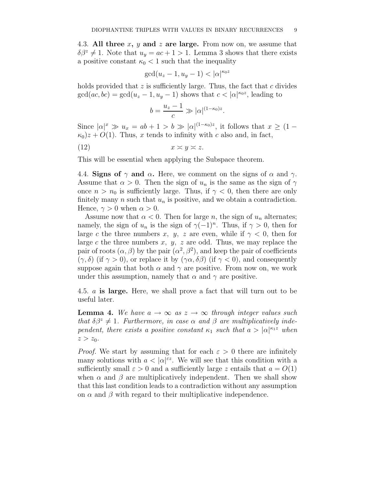4.3. All three x, y and z are large. From now on, we assume that  $\delta\beta^z \neq 1$ . Note that  $u_y = ac + 1 > 1$ . Lemma 3 shows that there exists a positive constant  $\kappa_0 < 1$  such that the inequality

$$
\gcd(u_z - 1, u_y - 1) < |\alpha|^{\kappa_0 z}
$$

holds provided that  $z$  is sufficiently large. Thus, the fact that  $c$  divides  $gcd(ac, bc) = gcd(u_z - 1, u_y - 1)$  shows that  $c < |a|^{\kappa_0 z}$ , leading to

$$
b = \frac{u_z - 1}{c} \gg |\alpha|^{(1 - \kappa_0)z}
$$

.

Since  $|\alpha|^x \gg u_x = ab + 1 > b \gg |\alpha|^{(1-\kappa_0)z}$ , it follows that  $x \geq (1-\kappa_0)$  $\kappa_0$ )z + O(1). Thus, x tends to infinity with c also and, in fact,

$$
(12) \t\t x \approx y \approx z.
$$

This will be essential when applying the Subspace theorem.

4.4. Signs of  $\gamma$  and  $\alpha$ . Here, we comment on the signs of  $\alpha$  and  $\gamma$ . Assume that  $\alpha > 0$ . Then the sign of  $u_n$  is the same as the sign of  $\gamma$ once  $n > n_0$  is sufficiently large. Thus, if  $\gamma < 0$ , then there are only finitely many n such that  $u_n$  is positive, and we obtain a contradiction. Hence,  $\gamma > 0$  when  $\alpha > 0$ .

Assume now that  $\alpha < 0$ . Then for large n, the sign of  $u_n$  alternates; namely, the sign of  $u_n$  is the sign of  $\gamma(-1)^n$ . Thus, if  $\gamma > 0$ , then for large c the three numbers x, y, z are even, while if  $\gamma$  < 0, then for large c the three numbers x, y, z are odd. Thus, we may replace the pair of roots  $(\alpha, \beta)$  by the pair  $(\alpha^2, \beta^2)$ , and keep the pair of coefficients  $(\gamma, \delta)$  (if  $\gamma > 0$ ), or replace it by  $(\gamma \alpha, \delta \beta)$  (if  $\gamma < 0$ ), and consequently suppose again that both  $\alpha$  and  $\gamma$  are positive. From now on, we work under this assumption, namely that  $\alpha$  and  $\gamma$  are positive.

4.5. a is large. Here, we shall prove a fact that will turn out to be useful later.

**Lemma 4.** We have  $a \to \infty$  as  $z \to \infty$  through integer values such that  $\delta\beta^z \neq 1$ . Furthermore, in case  $\alpha$  and  $\beta$  are multiplicatively independent, there exists a positive constant  $\kappa_1$  such that  $a > |\alpha|^{\kappa_1 z}$  when  $z > z_0$ .

*Proof.* We start by assuming that for each  $\varepsilon > 0$  there are infinitely many solutions with  $a < |\alpha|^{z}$ . We will see that this condition with a sufficiently small  $\varepsilon > 0$  and a sufficiently large z entails that  $a = O(1)$ when  $\alpha$  and  $\beta$  are multiplicatively independent. Then we shall show that this last condition leads to a contradiction without any assumption on  $\alpha$  and  $\beta$  with regard to their multiplicative independence.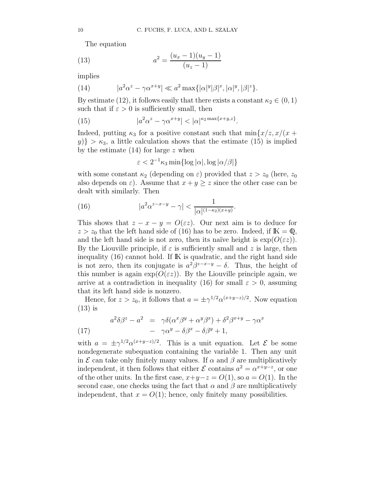The equation

(13) 
$$
a^2 = \frac{(u_x - 1)(u_y - 1)}{(u_z - 1)}
$$

implies

(14) 
$$
|a^2\alpha^z - \gamma \alpha^{x+y}| \ll a^2 \max\{| \alpha |^y | \beta |^x, |\alpha|^y, |\beta|^z\}.
$$

By estimate (12), it follows easily that there exists a constant  $\kappa_2 \in (0,1)$ such that if  $\varepsilon > 0$  is sufficiently small, then

(15) 
$$
|a^2\alpha^z - \gamma \alpha^{x+y}| < |\alpha|^{\kappa_2 \max\{x+y,z\}}.
$$

Indeed, putting  $\kappa_3$  for a positive constant such that  $\min\{x/z, x/(x + \epsilon)\}$  $y$ } >  $\kappa_3$ , a little calculation shows that the estimate (15) is implied by the estimate  $(14)$  for large z when

$$
\varepsilon < 2^{-1}\kappa_3 \min\{\log|\alpha|, \log|\alpha/\beta|\}
$$

with some constant  $\kappa_2$  (depending on  $\varepsilon$ ) provided that  $z > z_0$  (here,  $z_0$ ) also depends on  $\varepsilon$ ). Assume that  $x + y \geq z$  since the other case can be dealt with similarly. Then

(16) 
$$
|a^2 \alpha^{z-x-y} - \gamma| < \frac{1}{|\alpha|^{(1-\kappa_2)(x+y)}}.
$$

This shows that  $z - x - y = O(\varepsilon z)$ . Our next aim is to deduce for  $z > z_0$  that the left hand side of (16) has to be zero. Indeed, if  $\mathbb{K} = \mathbb{Q}$ , and the left hand side is not zero, then its naïve height is  $\exp(O(\varepsilon z))$ . By the Liouville principle, if  $\varepsilon$  is sufficiently small and z is large, then inequality  $(16)$  cannot hold. If  $\mathbb K$  is quadratic, and the right hand side is not zero, then its conjugate is  $a^2\beta^{z-x-y} - \delta$ . Thus, the height of this number is again  $\exp(O(\varepsilon z))$ . By the Liouville principle again, we arrive at a contradiction in inequality (16) for small  $\varepsilon > 0$ , assuming that its left hand side is nonzero.

Hence, for  $z > z_0$ , it follows that  $a = \pm \gamma^{1/2} \alpha^{(x+y-z)/2}$ . Now equation (13) is

(17) 
$$
a^2 \delta \beta^z - a^2 = \gamma \delta (\alpha^x \beta^y + \alpha^y \beta^x) + \delta^2 \beta^{x+y} - \gamma \alpha^x - \gamma \alpha^y - \delta \beta^x - \delta \beta^y + 1,
$$

with  $a = \pm \gamma^{1/2} \alpha^{(x+y-z)/2}$ . This is a unit equation. Let  $\mathcal{E}$  be some nondegenerate subequation containing the variable 1. Then any unit in  $\mathcal E$  can take only finitely many values. If  $\alpha$  and  $\beta$  are multiplicatively independent, it then follows that either  $\mathcal E$  contains  $a^2 = \alpha^{x+y-z}$ , or one of the other units. In the first case,  $x+y-z = O(1)$ , so  $a = O(1)$ . In the second case, one checks using the fact that  $\alpha$  and  $\beta$  are multiplicatively independent, that  $x = O(1)$ ; hence, only finitely many possibilities.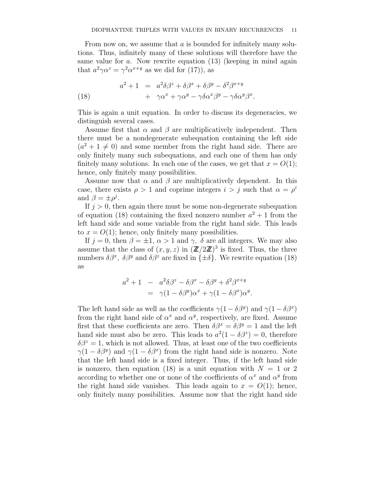From now on, we assume that  $a$  is bounded for infinitely many solutions. Thus, infinitely many of these solutions will therefore have the same value for  $a$ . Now rewrite equation  $(13)$  (keeping in mind again that  $a^2 \gamma \alpha^z = \gamma^2 \alpha^{x+y}$  as we did for (17)), as

(18) 
$$
a^{2} + 1 = a^{2} \delta \beta^{z} + \delta \beta^{x} + \delta \beta^{y} - \delta^{2} \beta^{x+y} + \gamma \alpha^{x} + \gamma \alpha^{y} - \gamma \delta \alpha^{x} \beta^{y} - \gamma \delta \alpha^{y} \beta^{x}.
$$

This is again a unit equation. In order to discuss its degeneracies, we distinguish several cases.

Assume first that  $\alpha$  and  $\beta$  are multiplicatively independent. Then there must be a nondegenerate subequation containing the left side  $(a^{2} + 1 \neq 0)$  and some member from the right hand side. There are only finitely many such subequations, and each one of them has only finitely many solutions. In each one of the cases, we get that  $x = O(1)$ ; hence, only finitely many possibilities.

Assume now that  $\alpha$  and  $\beta$  are multiplicatively dependent. In this case, there exists  $\rho > 1$  and coprime integers  $i > j$  such that  $\alpha = \rho^i$ and  $\beta = \pm \rho^j$ .

If  $j > 0$ , then again there must be some non-degenerate subequation of equation (18) containing the fixed nonzero number  $a^2 + 1$  from the left hand side and some variable from the right hand side. This leads to  $x = O(1)$ ; hence, only finitely many possibilities.

If  $j = 0$ , then  $\beta = \pm 1$ ,  $\alpha > 1$  and  $\gamma$ ,  $\delta$  are all integers. We may also assume that the class of  $(x, y, z)$  in  $(\mathbb{Z}/2\mathbb{Z})^3$  is fixed. Thus, the three numbers  $\delta \beta^x$ ,  $\delta \beta^y$  and  $\delta \beta^z$  are fixed in  $\{\pm \delta\}$ . We rewrite equation (18) as

$$
a^{2} + 1 - a^{2} \delta \beta^{z} - \delta \beta^{x} - \delta \beta^{y} + \delta^{2} \beta^{x+y}
$$
  
=  $\gamma (1 - \delta \beta^{y}) \alpha^{x} + \gamma (1 - \delta \beta^{x}) \alpha^{y}.$ 

The left hand side as well as the coefficients  $\gamma(1-\delta\beta^y)$  and  $\gamma(1-\delta\beta^x)$ from the right hand side of  $\alpha^x$  and  $\alpha^y$ , respectively, are fixed. Assume first that these coefficients are zero. Then  $\delta\beta^x = \delta\beta^y = 1$  and the left hand side must also be zero. This leads to  $a^2(1 - \delta\beta^2) = 0$ , therefore  $\delta\beta^z = 1$ , which is not allowed. Thus, at least one of the two coefficients  $\gamma(1 - \delta\beta^y)$  and  $\gamma(1 - \delta\beta^x)$  from the right hand side is nonzero. Note that the left hand side is a fixed integer. Thus, if the left hand side is nonzero, then equation (18) is a unit equation with  $N = 1$  or 2 according to whether one or none of the coefficients of  $\alpha^x$  and  $\alpha^y$  from the right hand side vanishes. This leads again to  $x = O(1)$ ; hence, only finitely many possibilities. Assume now that the right hand side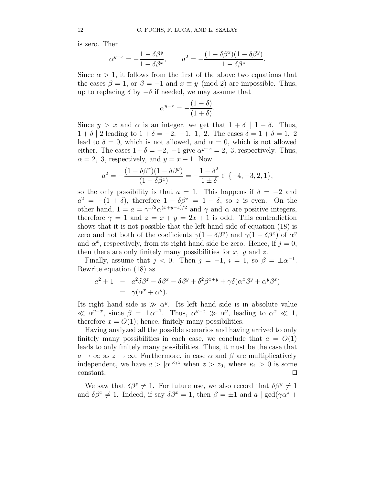is zero. Then

$$
\alpha^{y-x} = -\frac{1-\delta\beta^y}{1-\delta\beta^x}, \qquad a^2 = -\frac{(1-\delta\beta^x)(1-\delta\beta^y)}{1-\delta\beta^z}.
$$

Since  $\alpha > 1$ , it follows from the first of the above two equations that the cases  $\beta = 1$ , or  $\beta = -1$  and  $x \equiv y \pmod{2}$  are impossible. Thus, up to replacing  $\delta$  by  $-\delta$  if needed, we may assume that

$$
\alpha^{y-x} = -\frac{(1-\delta)}{(1+\delta)}.
$$

Since  $y > x$  and  $\alpha$  is an integer, we get that  $1 + \delta \mid 1 - \delta$ . Thus,  $1 + \delta$  | 2 leading to  $1 + \delta = -2, -1, 1, 2$ . The cases  $\delta = 1 + \delta = 1, 2$ lead to  $\delta = 0$ , which is not allowed, and  $\alpha = 0$ , which is not allowed either. The cases  $1+\delta = -2$ ,  $-1$  give  $\alpha^{y-x} = 2$ , 3, respectively. Thus,  $\alpha = 2$ , 3, respectively, and  $y = x + 1$ . Now

$$
a^{2} = -\frac{(1 - \delta\beta^{x})(1 - \delta\beta^{y})}{(1 - \delta\beta^{z})} = -\frac{1 - \delta^{2}}{1 \pm \delta} \in \{-4, -3, 2, 1\},\,
$$

so the only possibility is that  $a = 1$ . This happens if  $\delta = -2$  and  $a^2 = -(1+\delta)$ , therefore  $1-\delta\beta^2 = 1-\delta$ , so z is even. On the other hand,  $1 = a = \gamma^{1/2} \alpha^{(x+y-z)/2}$  and  $\gamma$  and  $\alpha$  are positive integers, therefore  $\gamma = 1$  and  $z = x + y = 2x + 1$  is odd. This contradiction shows that it is not possible that the left hand side of equation (18) is zero and not both of the coefficients  $\gamma(1-\delta\beta^y)$  and  $\gamma(1-\delta\beta^x)$  of  $\alpha^y$ and  $\alpha^x$ , respectively, from its right hand side be zero. Hence, if  $j = 0$ , then there are only finitely many possibilities for  $x, y$  and  $z$ .

Finally, assume that  $j < 0$ . Then  $j = -1$ ,  $i = 1$ , so  $\beta = \pm \alpha^{-1}$ . Rewrite equation (18) as

$$
a^{2} + 1 - a^{2} \delta \beta^{z} - \delta \beta^{x} - \delta \beta^{y} + \delta^{2} \beta^{x+y} + \gamma \delta (\alpha^{x} \beta^{y} + \alpha^{y} \beta^{x})
$$
  
=  $\gamma (\alpha^{x} + \alpha^{y}).$ 

Its right hand side is  $\gg \alpha^y$ . Its left hand side is in absolute value  $\ll \alpha^{y-x}$ , since  $\beta = \pm \alpha^{-1}$ . Thus,  $\alpha^{y-x} \gg \alpha^y$ , leading to  $\alpha^x \ll 1$ , therefore  $x = O(1)$ ; hence, finitely many possibilities.

Having analyzed all the possible scenarios and having arrived to only finitely many possibilities in each case, we conclude that  $a = O(1)$ leads to only finitely many possibilities. Thus, it must be the case that  $a \to \infty$  as  $z \to \infty$ . Furthermore, in case  $\alpha$  and  $\beta$  are multiplicatively independent, we have  $a > |\alpha|^{\kappa_1 z}$  when  $z > z_0$ , where  $\kappa_1 > 0$  is some  $\Box$ constant.  $\Box$ 

We saw that  $\delta\beta^z \neq 1$ . For future use, we also record that  $\delta\beta^y \neq 1$ and  $\delta\beta^x \neq 1$ . Indeed, if say  $\delta\beta^x = 1$ , then  $\beta = \pm 1$  and  $a \mid \gcd(\gamma\alpha^z +$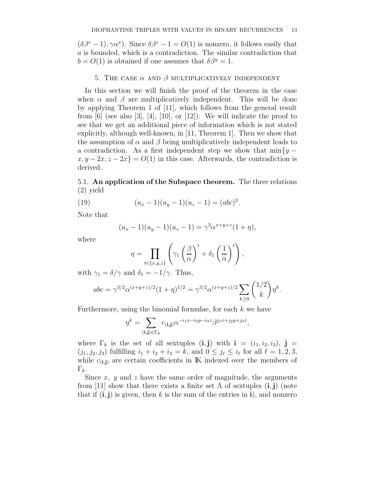$(\delta \beta^z - 1), \gamma \alpha^x$ ). Since  $\delta \beta^z - 1 = O(1)$  is nonzero, it follows easily that a is bounded, which is a contradiction. The similar contradiction that  $b = O(1)$  is obtained if one assumes that  $\delta \beta^y = 1$ .

### 5. THE CASE  $\alpha$  and  $\beta$  multiplicatively independent

In this section we will finish the proof of the theorem in the case when  $\alpha$  and  $\beta$  are multiplicatively independent. This will be done by applying Theorem 1 of [11], which follows from the general result from  $[6]$  (see also  $[3]$ ,  $[4]$ ,  $[10]$ , or  $[12]$ ). We will indicate the proof to see that we get an additional piece of information which is not stated explicitly, although well-known, in [11, Theorem 1]. Then we show that the assumption of  $\alpha$  and  $\beta$  being multiplicatively independent leads to a contradiction. As a first independent step we show that  $\min\{y - \}$  $x, y - 2x, z - 2x$ } =  $O(1)$  in this case. Afterwards, the contradiction is derived.

5.1. An application of the Subspace theorem. The three relations (2) yield

(19) 
$$
(u_x - 1)(u_y - 1)(u_z - 1) = (abc)^2.
$$

Note that

$$
(u_x - 1)(u_y - 1)(u_z - 1) = \gamma^3 \alpha^{x+y+z} (1 + \eta),
$$

where

$$
\eta = \prod_{t \in \{x,y,z\}} \left( \gamma_1 \left( \frac{\beta}{\alpha} \right)^t + \delta_1 \left( \frac{1}{\alpha} \right)^t \right),
$$

with  $\gamma_1 = \delta/\gamma$  and  $\delta_1 = -1/\gamma$ . Thus,

$$
abc = \gamma^{3/2} \alpha^{(x+y+z)/2} (1+\eta)^{1/2} = \gamma^{3/2} \alpha^{(x+y+z)/2} \sum_{k \ge 0} {1/2 \choose k} \eta^k.
$$

Furthermore, using the binomial formulae, for each  $k$  we have

$$
\eta^k = \sum_{(\mathbf{i}, \mathbf{j}) \in \Gamma_k} c_{(\mathbf{i}, \mathbf{j})} \alpha^{-i_1 x - i_2 y - i_3 z} \beta^{j_1 x + j_2 y + j_3 z},
$$

where  $\Gamma_k$  is the set of all sextuples (i, j) with  $\mathbf{i} = (i_1, i_2, i_3), \mathbf{j} =$  $(j_1, j_2, j_3)$  fulfilling  $i_1 + i_2 + i_3 = k$ , and  $0 \le j_\ell \le i_\ell$  for all  $\ell = 1, 2, 3$ , while  $c_{(i,i)}$  are certain coefficients in K indexed over the members of  $\Gamma_k$ .

Since  $x, y$  and z have the same order of magnitude, the arguments from [11] show that there exists a finite set  $\Lambda$  of sextuples (i, j) (note that if  $(i, j)$  is given, then k is the sum of the entries in i), and nonzero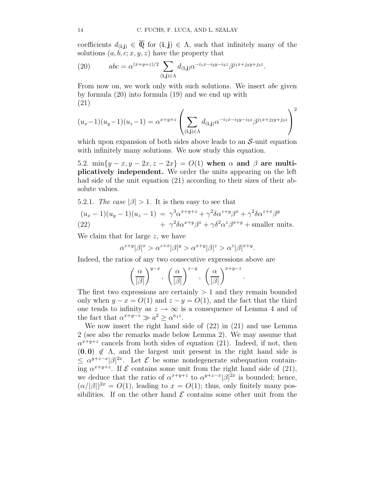coefficients  $d_{(i,j)} \in \overline{\mathbb{Q}}$  for  $(i,j) \in \Lambda$ , such that infinitely many of the solutions  $(a, b, c; x, y, z)$  have the property that

(20) 
$$
abc = \alpha^{(x+y+z)/2} \sum_{(\mathbf{i}, \mathbf{j}) \in \Lambda} d_{(\mathbf{i}, \mathbf{j})} \alpha^{-i_1 x - i_2 y - i_3 z} \beta^{j_1 x + j_2 y + j_3 z}.
$$

From now on, we work only with such solutions. We insert *abc* given by formula (20) into formula (19) and we end up with (21)

$$
(u_x-1)(u_y-1)(u_z-1) = \alpha^{x+y+z} \left( \sum_{(\mathbf{i}, \mathbf{j}) \in \Lambda} d_{(\mathbf{i}, \mathbf{j})} \alpha^{-i_1 x - i_2 y - i_3 z} \beta^{j_1 x + j_2 y + j_3 z} \right)^2
$$

which upon expansion of both sides above leads to an  $S$ -unit equation with infinitely many solutions. We now study this equation.

5.2.  $\min\{y-x, y-2x, z-2x\} = O(1)$  when  $\alpha$  and  $\beta$  are multiplicatively independent. We order the units appearing on the left had side of the unit equation (21) according to their sizes of their absolute values.

5.2.1. The case  $|\beta| > 1$ . It is then easy to see that

$$
(u_x - 1)(u_y - 1)(u_z - 1) = \gamma^3 \alpha^{x+y+z} + \gamma^2 \delta \alpha^{z+y} \beta^x + \gamma^2 \delta \alpha^{z+x} \beta^y
$$
  
(22) 
$$
+ \gamma^2 \delta \alpha^{x+y} \beta^z + \gamma \delta^2 \alpha^z \beta^{x+y} + \text{smaller units.}
$$

We claim that for large z, we have

$$
\alpha^{z+y}|\beta|^x > \alpha^{z+x}|\beta|^y > \alpha^{x+y}|\beta|^z > \alpha^z|\beta|^{x+y}.
$$

Indeed, the ratios of any two consecutive expressions above are

$$
\left(\frac{\alpha}{|\beta|}\right)^{y-x}, \left(\frac{\alpha}{|\beta|}\right)^{z-y}, \left(\frac{\alpha}{|\beta|}\right)^{x+y-z}
$$

.

The first two expressions are certainly  $> 1$  and they remain bounded only when  $y - x = O(1)$  and  $z - y = O(1)$ , and the fact that the third one tends to infinity as  $z \to \infty$  is a consequence of Lemma 4 and of the fact that  $\alpha^{x+y-z} \gg a^2 \geq \alpha^{\kappa_1 z}$ .

We now insert the right hand side of (22) in (21) and use Lemma 2 (see also the remarks made below Lemma 2). We may assume that  $\alpha^{x+y+z}$  cancels from both sides of equation (21). Indeed, if not, then  $(0, 0) \notin \Lambda$ , and the largest unit present in the right hand side is  $\leq \alpha^{y+z-x} |\beta|^{2x}$ . Let  $\mathcal E$  be some nondegenerate subequation containing  $\alpha^{x+y+z}$ . If  $\mathcal E$  contains some unit from the right hand side of (21), we deduce that the ratio of  $\alpha^{x+y+z}$  to  $\alpha^{y+z-x}$   $\beta^{2x}$  is bounded; hence,  $(\alpha/|\beta|)^{2x} = O(1)$ , leading to  $x = O(1)$ ; thus, only finitely many possibilities. If on the other hand  $\mathcal E$  contains some other unit from the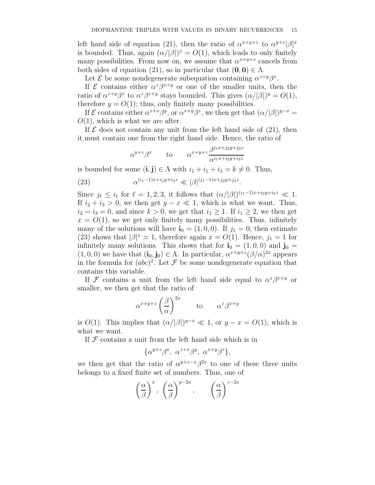left hand side of equation (21), then the ratio of  $\alpha^{x+y+z}$  to  $\alpha^{y+z}|\beta|^x$ is bounded. Thus, again  $(\alpha/|\beta|)^x = O(1)$ , which leads to only finitely many possibilities. From now on, we assume that  $\alpha^{x+y+z}$  cancels from both sides of equation (21), so in particular that  $(0, 0) \in \Lambda$ .

Let  $\mathcal E$  be some nondegenerate subequation containing  $\alpha^{z+y}\beta^x$ .

If  $\mathcal E$  contains either  $\alpha^z\beta^{x+y}$  or one of the smaller units, then the ratio of  $\alpha^{z+y}\beta^x$  to  $\alpha^z\beta^{z+y}$  stays bounded. This gives  $(\alpha/|\beta|)^y = O(1)$ , therefore  $y = O(1)$ ; thus, only finitely many possibilities.

If  $\mathcal E$  contains either  $\alpha^{z+x}\beta^y$ , or  $\alpha^{x+y}\beta^z$ , we then get that  $(\alpha/|\beta|)^{y-x} =$  $O(1)$ , which is what we are after.

If  $\mathcal E$  does not contain any unit from the left hand side of (21), then it must contain one from the right hand side. Hence, the ratio of

$$
\alpha^{y+z}\beta^x \qquad \text{to} \qquad \alpha^{x+y+z}\frac{\beta^{j_1x+j_2y+j_3z}}{\alpha^{i_1x+i_2y+i_3z}}
$$

is bounded for some  $(i, j) \in \Lambda$  with  $i_1 + i_1 + i_3 = k \neq 0$ . Thus,

(23) 
$$
\alpha^{(i_1-1)x+i_2y+i_3z} \ll |\beta|^{(j_1-1)x+j_2y+j_3z}.
$$

Since  $j_{\ell} \leq i_{\ell}$  for  $\ell = 1, 2, 3$ , it follows that  $(\alpha/|\beta|)^{(i_1-1)x+i_2y+i_3z} \ll 1$ . If  $i_2 + i_3 > 0$ , we then get  $y - x \ll 1$ , which is what we want. Thus,  $i_2 = i_3 = 0$ , and since  $k > 0$ , we get that  $i_1 \geq 1$ . If  $i_1 \geq 2$ , we then get  $x = O(1)$ , so we get only finitely many possibilities. Thus, infinitely many of the solutions will have  $\mathbf{i}_0 = (1, 0, 0)$ . If  $j_1 = 0$ , then estimate (23) shows that  $|\beta|^x \approx 1$ , therefore again  $x = O(1)$ . Hence,  $j_1 = 1$  for infinitely many solutions. This shows that for  $\mathbf{i}_0 = (1, 0, 0)$  and  $\mathbf{j}_0 =$  $(1,0,0)$  we have that  $(i_0, j_0) \in \Lambda$ . In particular,  $\alpha^{x+y+z} (\beta/\alpha)^{2x}$  appears in the formula for  $(abc)^2$ . Let F be some nondegenerate equation that contains this variable.

If F contains a unit from the left hand side equal to  $\alpha^z \beta^{x+y}$  or smaller, we then get that the ratio of

$$
\alpha^{x+y+z} \left(\frac{\beta}{\alpha}\right)^{2x}
$$
 to  $\alpha^z \beta^{x+y}$ 

is  $O(1)$ . This implies that  $(\alpha/|\beta|)^{y-x} \ll 1$ , or  $y - x = O(1)$ , which is what we want.

If  $F$  contains a unit from the left hand side which is in

$$
\{\alpha^{y+z}\beta^x, \ \alpha^{z+x}\beta^y, \ \alpha^{x+y}\beta^z\},\
$$

we then get that the ratio of  $\alpha^{y+z-x}\beta^{2x}$  to one of these three units belongs to a fixed finite set of numbers. Thus, one of

$$
\left(\frac{\alpha}{\beta}\right)^x, \left(\frac{\alpha}{\beta}\right)^{y-2x}, \left(\frac{\alpha}{\beta}\right)^{z-2x}
$$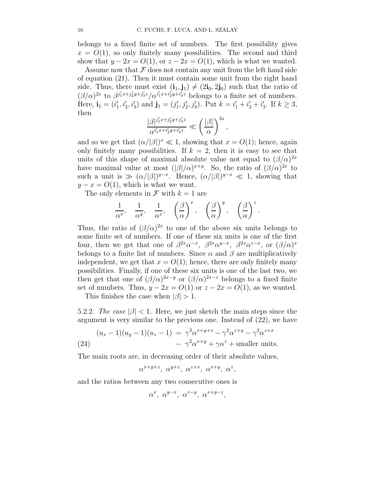belongs to a fixed finite set of numbers. The first possibility gives  $x = O(1)$ , so only finitely many possibilities. The second and third show that  $y - 2x = O(1)$ , or  $z - 2x = O(1)$ , which is what we wanted.

Assume now that  $\mathcal F$  does not contain any unit from the left hand side of equation (21). Then it must contain some unit from the right hand side. Thus, there must exist  $(i_1, j_1) \neq (2i_0, 2j_0)$  such that the ratio of  $(\beta/\alpha)^{2x}$  to  $\beta^{j'_1x+j'_2y+j'_3z}/\alpha^{i'_1x+i'_2y+i'_3z}$  belongs to a finite set of numbers. Here,  $\mathbf{i}_1 = (i'_1, i'_2, i'_3)$  and  $\mathbf{j}_1 = (j'_1, j'_2, j'_3)$ . Put  $k = i'_1 + i'_2 + i'_3$ . If  $k \geq 3$ , then

$$
\frac{|\beta|^{j_1'x+j_2'y+j_3'z}}{\alpha^{i_1'x+i_2'y+i_3'z}} \ll \left(\frac{|\beta|}{\alpha}\right)^{3x},
$$

and so we get that  $(\alpha/|\beta|)^x \ll 1$ , showing that  $x = O(1)$ ; hence, again only finitely many possibilities. If  $k = 2$ , then it is easy to see that units of this shape of maximal absolute value not equal to  $(\beta/\alpha)^{2x}$ have maximal value at most  $(|\beta|/\alpha)^{x+y}$ . So, the ratio of  $({\beta}/{\alpha})^{2x}$  to such a unit is  $\gg (\alpha/|\beta|)^{y-x}$ . Hence,  $(\alpha/|\beta|)^{y-x} \ll 1$ , showing that  $y - x = O(1)$ , which is what we want.

The only elements in  $\mathcal F$  with  $k=1$  are

$$
\frac{1}{\alpha^x}, \quad \frac{1}{\alpha^y}, \quad \frac{1}{\alpha^z}, \quad \left(\frac{\beta}{\alpha}\right)^x, \quad \left(\frac{\beta}{\alpha}\right)^y, \quad \left(\frac{\beta}{\alpha}\right)^z.
$$

Thus, the ratio of  $(\beta/\alpha)^{2x}$  to one of the above six units belongs to some finite set of numbers. If one of these six units is one of the first four, then we get that one of  $\beta^{2x} \alpha^{-x}$ ,  $\beta^{2x} \alpha^{y-x}$ ,  $\beta^{2x} \alpha^{z-x}$ , or  $(\beta/\alpha)^x$ belongs to a finite list of numbers. Since  $\alpha$  and  $\beta$  are multiplicatively independent, we get that  $x = O(1)$ ; hence, there are only finitely many possibilities. Finally, if one of these six units is one of the last two, we then get that one of  $(\beta/\alpha)^{2x-y}$  or  $(\beta/\alpha)^{2x-z}$  belongs to a fixed finite set of numbers. Thus,  $y - 2x = O(1)$  or  $z - 2x = O(1)$ , as we wanted.

This finishes the case when  $|\beta| > 1$ .

5.2.2. The case  $|\beta|$  < 1. Here, we just sketch the main steps since the argument is very similar to the previous one. Instead of (22), we have

(24) 
$$
(u_x - 1)(u_y - 1)(u_z - 1) = \gamma^3 \alpha^{x+y+z} - \gamma^2 \alpha^{z+y} - \gamma^2 \alpha^{z+x}
$$

$$
- \gamma^2 \alpha^{x+y} + \gamma \alpha^z + \text{smaller units.}
$$

The main roots are, in decreasing order of their absolute values,

 $\alpha^{x+y+z}, \alpha^{y+z}, \alpha^{z+x}, \alpha^{x+y}, \alpha^z,$ 

and the ratios between any two consecutive ones is

$$
\alpha^x, \ \alpha^{y-x}, \ \alpha^{z-y}, \ \alpha^{x+y-z},
$$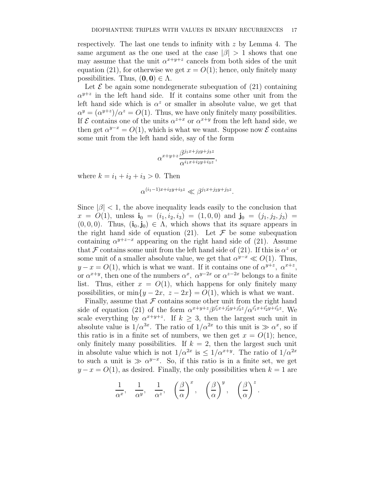respectively. The last one tends to infinity with z by Lemma 4. The same argument as the one used at the case  $|\beta| > 1$  shows that one may assume that the unit  $\alpha^{x+y+z}$  cancels from both sides of the unit equation (21), for otherwise we get  $x = O(1)$ ; hence, only finitely many possibilities. Thus,  $(0, 0) \in \Lambda$ .

Let  $\mathcal E$  be again some nondegenerate subequation of (21) containing  $\alpha^{y+z}$  in the left hand side. If it contains some other unit from the left hand side which is  $\alpha^z$  or smaller in absolute value, we get that  $\alpha^y = (\alpha^{y+z})/\alpha^z = O(1)$ . Thus, we have only finitely many possibilities. If  $\mathcal E$  contains one of the units  $\alpha^{z+x}$  or  $\alpha^{x+y}$  from the left hand side, we then get  $\alpha^{y-x} = O(1)$ , which is what we want. Suppose now  $\mathcal E$  contains some unit from the left hand side, say of the form

$$
\alpha^{x+y+z} \frac{\beta^{j_1x+j_2y+j_3z}}{\alpha^{i_1x+i_2y+i_3z}},
$$

where  $k = i_1 + i_2 + i_3 > 0$ . Then

$$
\alpha^{(i_1-1)x+i_2y+i_3z} \ll \beta^{j_1x+j_2y+j_3z}.
$$

Since  $|\beta|$  < 1, the above inequality leads easily to the conclusion that  $x = O(1)$ , unless  $\mathbf{i}_0 = (i_1, i_2, i_3) = (1, 0, 0)$  and  $\mathbf{j}_0 = (j_1, j_2, j_3) =$  $(0, 0, 0)$ . Thus,  $(i_0, j_0) \in \Lambda$ , which shows that its square appears in the right hand side of equation (21). Let  $\mathcal F$  be some subequation containing  $\alpha^{y+z-x}$  appearing on the right hand side of (21). Assume that F contains some unit from the left hand side of (21). If this is  $\alpha^z$  or some unit of a smaller absolute value, we get that  $\alpha^{y-x} \ll O(1)$ . Thus,  $y - x = O(1)$ , which is what we want. If it contains one of  $\alpha^{y+z}$ ,  $\alpha^{x+z}$ , or  $\alpha^{x+y}$ , then one of the numbers  $\alpha^x$ ,  $\alpha^{y-2x}$  or  $\alpha^{z-2x}$  belongs to a finite list. Thus, either  $x = O(1)$ , which happens for only finitely many possibilities, or min $\{y - 2x, z - 2x\} = O(1)$ , which is what we want.

Finally, assume that  $\mathcal F$  contains some other unit from the right hand side of equation (21) of the form  $\alpha^{x+y+z}\beta^{j'_1x+j'_2y+j'_3z}/\alpha^{i'_1x+i'_2y+i'_3z}$ . We scale everything by  $\alpha^{x+y+z}$ . If  $k \geq 3$ , then the largest such unit in absolute value is  $1/\alpha^{3x}$ . The ratio of  $1/\alpha^{2x}$  to this unit is  $\gg \alpha^x$ , so if this ratio is in a finite set of numbers, we then get  $x = O(1)$ ; hence, only finitely many possibilities. If  $k = 2$ , then the largest such unit in absolute value which is not  $1/\alpha^{2x}$  is  $\leq 1/\alpha^{x+y}$ . The ratio of  $1/\alpha^{2x}$ to such a unit is  $\gg \alpha^{y-x}$ . So, if this ratio is in a finite set, we get  $y - x = O(1)$ , as desired. Finally, the only possibilities when  $k = 1$  are

$$
\frac{1}{\alpha^x}, \quad \frac{1}{\alpha^y}, \quad \frac{1}{\alpha^z}, \quad \left(\frac{\beta}{\alpha}\right)^x, \quad \left(\frac{\beta}{\alpha}\right)^y, \quad \left(\frac{\beta}{\alpha}\right)^z.
$$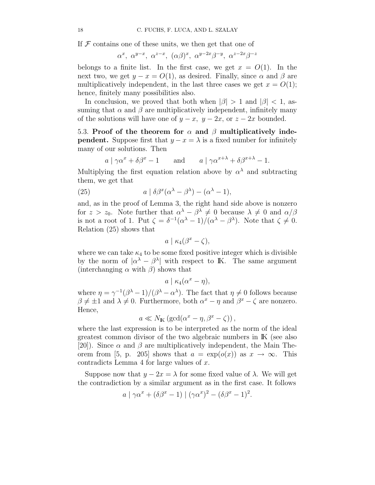If  $\mathcal F$  contains one of these units, we then get that one of

$$
\alpha^x, \ \alpha^{y-x}, \ \alpha^{z-x}, \ (\alpha\beta)^x, \ \alpha^{y-2x}\beta^{-y}, \ \alpha^{z-2x}\beta^{-z}
$$

belongs to a finite list. In the first case, we get  $x = O(1)$ . In the next two, we get  $y - x = O(1)$ , as desired. Finally, since  $\alpha$  and  $\beta$  are multiplicatively independent, in the last three cases we get  $x = O(1)$ ; hence, finitely many possibilities also.

In conclusion, we proved that both when  $|\beta| > 1$  and  $|\beta| < 1$ , assuming that  $\alpha$  and  $\beta$  are multiplicatively independent, infinitely many of the solutions will have one of  $y - x$ ,  $y - 2x$ , or  $z - 2x$  bounded.

5.3. Proof of the theorem for  $\alpha$  and  $\beta$  multiplicatively inde**pendent.** Suppose first that  $y - x = \lambda$  is a fixed number for infinitely many of our solutions. Then

$$
a \mid \gamma \alpha^x + \delta \beta^x - 1
$$
 and  $a \mid \gamma \alpha^{x+\lambda} + \delta \beta^{x+\lambda} - 1$ .

Multiplying the first equation relation above by  $\alpha^{\lambda}$  and subtracting them, we get that

(25) 
$$
a \mid \delta \beta^x (\alpha^{\lambda} - \beta^{\lambda}) - (\alpha^{\lambda} - 1),
$$

and, as in the proof of Lemma 3, the right hand side above is nonzero for  $z > z_0$ . Note further that  $\alpha^{\lambda} - \beta^{\lambda} \neq 0$  because  $\lambda \neq 0$  and  $\alpha/\beta$ is not a root of 1. Put  $\zeta = \frac{\delta^{-1}(\alpha^{\lambda} - 1)}{(\alpha^{\lambda} - \beta^{\lambda})}$ . Note that  $\zeta \neq 0$ . Relation (25) shows that

$$
a \mid \kappa_4(\beta^x - \zeta),
$$

where we can take  $\kappa_4$  to be some fixed positive integer which is divisible by the norm of  $|\alpha^{\lambda} - \beta^{\lambda}|$  with respect to K. The same argument (interchanging  $\alpha$  with  $\beta$ ) shows that

$$
a \mid \kappa_4(\alpha^x - \eta),
$$

where  $\eta = \gamma^{-1}(\beta^{\lambda} - 1)/(\beta^{\lambda} - \alpha^{\lambda})$ . The fact that  $\eta \neq 0$  follows because  $\beta \neq \pm 1$  and  $\lambda \neq 0$ . Furthermore, both  $\alpha^x - \eta$  and  $\beta^x - \zeta$  are nonzero. Hence,

$$
a \ll N_{\mathbb{K}} \left( \gcd(\alpha^x - \eta, \beta^x - \zeta) \right),
$$

where the last expression is to be interpreted as the norm of the ideal greatest common divisor of the two algebraic numbers in IK (see also [20]). Since  $\alpha$  and  $\beta$  are multiplicatively independent, the Main Theorem from [5, p. 205] shows that  $a = \exp(o(x))$  as  $x \to \infty$ . This contradicts Lemma 4 for large values of x.

Suppose now that  $y - 2x = \lambda$  for some fixed value of  $\lambda$ . We will get the contradiction by a similar argument as in the first case. It follows

$$
a \mid \gamma \alpha^x + (\delta \beta^x - 1) \mid (\gamma \alpha^x)^2 - (\delta \beta^x - 1)^2.
$$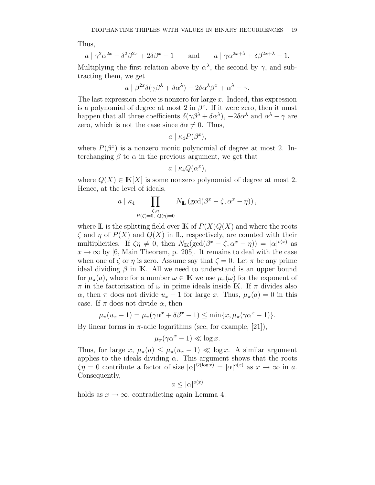Thus,

$$
a \mid \gamma^2 \alpha^{2x} - \delta^2 \beta^{2x} + 2\delta \beta^x - 1
$$
 and  $a \mid \gamma \alpha^{2x+\lambda} + \delta \beta^{2x+\lambda} - 1$ .

Multiplying the first relation above by  $\alpha^{\lambda}$ , the second by  $\gamma$ , and subtracting them, we get

$$
a \mid \beta^{2x} \delta(\gamma \beta^{\lambda} + \delta \alpha^{\lambda}) - 2\delta \alpha^{\lambda} \beta^{x} + \alpha^{\lambda} - \gamma.
$$

The last expression above is nonzero for large  $x$ . Indeed, this expression is a polynomial of degree at most 2 in  $\beta^x$ . If it were zero, then it must happen that all three coefficients  $\delta(\gamma\beta^{\lambda} + \delta\alpha^{\lambda}), -2\delta\alpha^{\lambda}$  and  $\alpha^{\lambda} - \gamma$  are zero, which is not the case since  $\delta \alpha \neq 0$ . Thus,

$$
a \mid \kappa_4 P(\beta^x),
$$

where  $P(\beta^x)$  is a nonzero monic polynomial of degree at most 2. Interchanging  $\beta$  to  $\alpha$  in the previous argument, we get that

$$
a \mid \kappa_4 Q(\alpha^x),
$$

where  $Q(X) \in K[X]$  is some nonzero polynomial of degree at most 2. Hence, at the level of ideals,

$$
a \mid \kappa_4 \prod_{\substack{\zeta,\eta \\ P(\zeta)=0, \ Q(\eta)=0}} N_{\mathbb{L}} (\gcd(\beta^x - \zeta, \alpha^x - \eta)),
$$

where  $\mathbb L$  is the splitting field over  $\mathbb K$  of  $P(X)Q(X)$  and where the roots  $\zeta$  and  $\eta$  of  $P(X)$  and  $Q(X)$  in **L**, respectively, are counted with their multiplicities. If  $\zeta \eta \neq 0$ , then  $N_{\mathbb{K}}(\gcd(\beta^x - \zeta, \alpha^x - \eta)) = |\alpha|^{o(x)}$  as  $x \to \infty$  by [6, Main Theorem, p. 205]. It remains to deal with the case when one of  $\zeta$  or  $\eta$  is zero. Assume say that  $\zeta = 0$ . Let  $\pi$  be any prime ideal dividing  $\beta$  in K. All we need to understand is an upper bound for  $\mu_{\pi}(a)$ , where for a number  $\omega \in \mathbb{K}$  we use  $\mu_{\pi}(\omega)$  for the exponent of  $\pi$  in the factorization of  $\omega$  in prime ideals inside IK. If  $\pi$  divides also  $\alpha$ , then  $\pi$  does not divide  $u_x - 1$  for large x. Thus,  $\mu_{\pi}(a) = 0$  in this case. If  $\pi$  does not divide  $\alpha$ , then

$$
\mu_{\pi}(u_x - 1) = \mu_{\pi}(\gamma\alpha^x + \delta\beta^x - 1) \le \min\{x, \mu_{\pi}(\gamma\alpha^x - 1)\}.
$$

By linear forms in  $\pi$ -adic logarithms (see, for example, [21]),

$$
\mu_{\pi}(\gamma\alpha^x - 1) \ll \log x.
$$

Thus, for large x,  $\mu_{\pi}(a) \leq \mu_{\pi}(u_x - 1) \ll \log x$ . A similar argument applies to the ideals dividing  $\alpha$ . This argument shows that the roots  $\zeta \eta = 0$  contribute a factor of size  $|\alpha|^{O(\log x)} = |\alpha|^{o(x)}$  as  $x \to \infty$  in a. Consequently,

$$
a \le |\alpha|^{o(x)}
$$

holds as  $x \to \infty$ , contradicting again Lemma 4.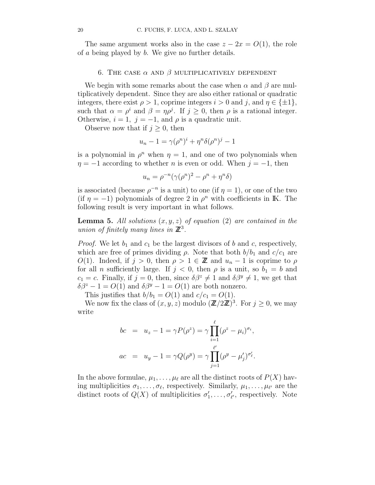The same argument works also in the case  $z - 2x = O(1)$ , the role of a being played by b. We give no further details.

## 6. THE CASE  $\alpha$  AND  $\beta$  MULTIPLICATIVELY DEPENDENT

We begin with some remarks about the case when  $\alpha$  and  $\beta$  are multiplicatively dependent. Since they are also either rational or quadratic integers, there exist  $\rho > 1$ , coprime integers  $i > 0$  and j, and  $\eta \in {\pm 1}$ , such that  $\alpha = \rho^i$  and  $\beta = \eta \rho^j$ . If  $j \geq 0$ , then  $\rho$  is a rational integer. Otherwise,  $i = 1$ ,  $j = -1$ , and  $\rho$  is a quadratic unit.

Observe now that if  $j \geq 0$ , then

$$
u_n - 1 = \gamma(\rho^n)^i + \eta^n \delta(\rho^n)^j - 1
$$

is a polynomial in  $\rho^n$  when  $\eta = 1$ , and one of two polynomials when  $\eta = -1$  according to whether *n* is even or odd. When  $j = -1$ , then

$$
u_n = \rho^{-n}(\gamma(\rho^n)^2 - \rho^n + \eta^n\delta)
$$

is associated (because  $\rho^{-n}$  is a unit) to one (if  $\eta = 1$ ), or one of the two (if  $\eta = -1$ ) polynomials of degree 2 in  $\rho^n$  with coefficients in K. The following result is very important in what follows.

**Lemma 5.** All solutions  $(x, y, z)$  of equation (2) are contained in the union of finitely many lines in  $\mathbb{Z}^3$ .

*Proof.* We let  $b_1$  and  $c_1$  be the largest divisors of b and c, respectively, which are free of primes dividing  $\rho$ . Note that both  $b/b_1$  and  $c/c_1$  are  $O(1)$ . Indeed, if  $j > 0$ , then  $\rho > 1 \in \mathbb{Z}$  and  $u_n - 1$  is coprime to  $\rho$ for all *n* sufficiently large. If  $j < 0$ , then  $\rho$  is a unit, so  $b_1 = b$  and  $c_1 = c$ . Finally, if  $j = 0$ , then, since  $\delta \beta^z \neq 1$  and  $\delta \beta^y \neq 1$ , we get that  $\delta \beta^z - 1 = O(1)$  and  $\delta \beta^y - 1 = O(1)$  are both nonzero.

This justifies that  $b/b_1 = O(1)$  and  $c/c_1 = O(1)$ .

We now fix the class of  $(x, y, z)$  modulo  $(\mathbb{Z}/2\mathbb{Z})^3$ . For  $j \geq 0$ , we may write

$$
bc = u_z - 1 = \gamma P(\rho^z) = \gamma \prod_{i=1}^{\ell} (\rho^z - \mu_i)^{\sigma_i},
$$
  
\n
$$
ac = u_y - 1 = \gamma Q(\rho^y) = \gamma \prod_{j=1}^{\ell'} (\rho^y - \mu'_j)^{\sigma'_\ell}.
$$

In the above formulae,  $\mu_1, \ldots, \mu_\ell$  are all the distinct roots of  $P(X)$  having multiplicities  $\sigma_1, \ldots, \sigma_\ell$ , respectively. Similarly,  $\mu_1, \ldots, \mu_{\ell'}$  are the distinct roots of  $Q(X)$  of multiplicities  $\sigma'_1, \ldots, \sigma'_{\ell'}$ , respectively. Note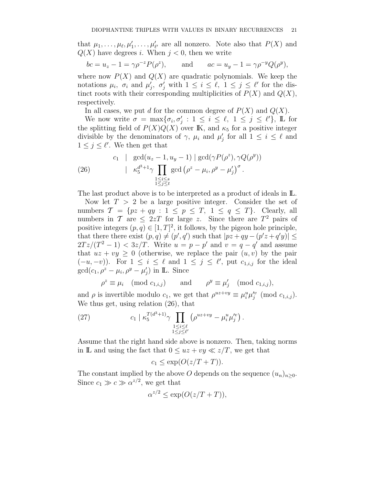that  $\mu_1, \ldots, \mu_\ell, \mu'_1, \ldots, \mu'_{\ell'}$  are all nonzero. Note also that  $P(X)$  and  $Q(X)$  have degrees i. When  $j < 0$ , then we write

$$
bc = u_z - 1 = \gamma \rho^{-z} P(\rho^z)
$$
, and  $ac = u_y - 1 = \gamma \rho^{-y} Q(\rho^y)$ ,

where now  $P(X)$  and  $Q(X)$  are quadratic polynomials. We keep the notations  $\mu_i$ ,  $\sigma_i$  and  $\mu'_j$ ,  $\sigma'_j$  with  $1 \leq i \leq \ell$ ,  $1 \leq j \leq \ell'$  for the distinct roots with their corresponding multiplicities of  $P(X)$  and  $Q(X)$ , respectively.

In all cases, we put d for the common degree of  $P(X)$  and  $Q(X)$ .

We now write  $\sigma = \max{\lbrace \sigma_i, \sigma'_j : 1 \leq i \leq \ell, 1 \leq j \leq \ell' \rbrace}$ , L for the splitting field of  $P(X)Q(X)$  over K, and  $\kappa_5$  for a positive integer divisible by the denominators of  $\gamma$ ,  $\mu_i$  and  $\mu'_j$  for all  $1 \leq i \leq \ell$  and  $1 \leq j \leq \ell'$ . We then get that

(26) 
$$
c_1 \mid \gcd(u_z - 1, u_y - 1) \mid \gcd(\gamma P(\rho^z), \gamma Q(\rho^y))
$$

$$
\mid \kappa_5^{d^3+1} \gamma \prod_{\substack{1 \le i \le s \\ 1 \le j \le t}} \gcd(\rho^z - \mu_i, \rho^y - \mu'_j)^{\sigma}.
$$

The last product above is to be interpreted as a product of ideals in  $\mathbb{L}$ .

Now let  $T > 2$  be a large positive integer. Consider the set of numbers  $\mathcal{T} = \{pz + qy : 1 \leq p \leq T, 1 \leq q \leq T\}$ . Clearly, all numbers in T are  $\leq 2zT$  for large z. Since there are  $T^2$  pairs of positive integers  $(p, q) \in [1, T]^2$ , it follows, by the pigeon hole principle, that there there exist  $(p, q) \neq (p', q')$  such that  $|pz + qy - (p'z + q'y)| \leq$  $2Tz/(T^2-1) < 3z/T$ . Write  $u = p - p'$  and  $v = q - q'$  and assume that  $uz + vy \geq 0$  (otherwise, we replace the pair  $(u, v)$  by the pair  $(-u, -v)$ ). For  $1 \leq i \leq \ell$  and  $1 \leq j \leq \ell'$ , put  $c_{1,i,j}$  for the ideal  $gcd(c_1, \rho^z - \mu_i, \rho^y - \mu'_j)$  in **L**. Since

$$
\rho^z \equiv \mu_i \pmod{c_{1,i,j}} \quad \text{and} \quad \rho^y \equiv \mu'_j \pmod{c_{1,i,j}},
$$

and  $\rho$  is invertible modulo  $c_1$ , we get that  $\rho^{uz+vy} \equiv \mu_i^u \mu_j^{\prime v} \pmod{c_{1,i,j}}$ . We thus get, using relation (26), that

(27) 
$$
c_1 \mid \kappa_5^{T(d^3+1)} \gamma \prod_{\substack{1 \le i \le \ell \\ 1 \le j \le \ell'}} \left( \rho^{uz+vy} - \mu_i^u \mu_j'^v \right).
$$

Assume that the right hand side above is nonzero. Then, taking norms in L and using the fact that  $0 \leq uz + vy \ll z/T$ , we get that

$$
c_1 \le \exp(O(z/T + T)).
$$

The constant implied by the above O depends on the sequence  $(u_n)_{n>0}$ . Since  $c_1 \gg c \gg \alpha^{z/2}$ , we get that

$$
\alpha^{z/2} \le \exp(O(z/T + T)),
$$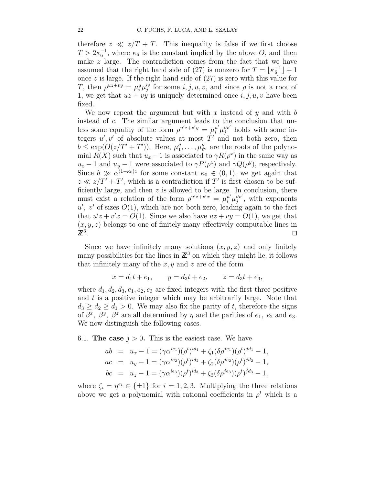therefore  $z \ll z/T + T$ . This inequality is false if we first choose  $T > 2\kappa_6^{-1}$ , where  $\kappa_6$  is the constant implied by the above O, and then make  $z$  large. The contradiction comes from the fact that we have assumed that the right hand side of (27) is nonzero for  $T = \lfloor \kappa_6^{-1} \rfloor + 1$ once  $z$  is large. If the right hand side of  $(27)$  is zero with this value for T, then  $\rho^{uz+vy} = \mu_i^u \mu_j^{\prime v}$  for some  $i, j, u, v$ , and since  $\rho$  is not a root of 1, we get that  $uz + vy$  is uniquely determined once  $i, j, u, v$  have been fixed.

We now repeat the argument but with x instead of y and with  $b$ instead of c. The similar argument leads to the conclusion that unless some equality of the form  $\rho^{u'z+v'y} = \mu_i^{u'} \mu_j^{v'v'}$  holds with some integers  $u', v'$  of absolute values at most T' and not both zero, then  $b \le \exp(O(z/T' + T'))$ . Here,  $\mu''_1, \ldots, \mu''_{\ell''}$  are the roots of the polynomial  $R(X)$  such that  $u_x - 1$  is associated to  $\gamma R(\rho^x)$  in the same way as  $u_z - 1$  and  $u_y - 1$  were associated to  $\gamma P(\rho^z)$  and  $\gamma Q(\rho^y)$ , respectively. Since  $b \gg \alpha^{(1-\kappa_0)z}$  for some constant  $\kappa_0 \in (0,1)$ , we get again that  $z \ll z/T' + T'$ , which is a contradiction if T' is first chosen to be sufficiently large, and then  $z$  is allowed to be large. In conclusion, there must exist a relation of the form  $\rho^{u'z+v'x} = \mu_i^{u'} \mu_j^{u'v'}$  $j''$ , with exponents  $u'$ , v' of sizes  $O(1)$ , which are not both zero, leading again to the fact that  $u'z + v'x = O(1)$ . Since we also have  $uz + vy = O(1)$ , we get that  $(x, y, z)$  belongs to one of finitely many effectively computable lines in  $\mathbb{Z}^3$ . The contract of the contract of the contract of the contract of the contract of the contract of the contract of the contract of the contract of the contract of the contract of the contract of the contract of the contract

Since we have infinitely many solutions  $(x, y, z)$  and only finitely many possibilities for the lines in  $\mathbb{Z}^3$  on which they might lie, it follows that infinitely many of the  $x, y$  and  $z$  are of the form

$$
x = d_1t + e_1
$$
,  $y = d_2t + e_2$ ,  $z = d_3t + e_3$ ,

where  $d_1, d_2, d_3, e_1, e_2, e_3$  are fixed integers with the first three positive and  $t$  is a positive integer which may be arbitrarily large. Note that  $d_3 \geq d_2 \geq d_1 > 0$ . We may also fix the parity of t, therefore the signs of  $\beta^x$ ,  $\beta^y$ ,  $\beta^z$  are all determined by  $\eta$  and the parities of  $e_1$ ,  $e_2$  and  $e_3$ . We now distinguish the following cases.

6.1. The case  $j > 0$ . This is the easiest case. We have

$$
ab = u_x - 1 = (\gamma \alpha^{ie_1}) (\rho^t)^{id_1} + \zeta_1 (\delta \rho^{je_1}) (\rho^t)^{id_1} - 1,
$$
  
\n
$$
ac = u_y - 1 = (\gamma \alpha^{ie_2}) (\rho^t)^{id_2} + \zeta_2 (\delta \rho^{je_2}) (\rho^t)^{id_2} - 1,
$$
  
\n
$$
bc = u_z - 1 = (\gamma \alpha^{ie_3}) (\rho^t)^{id_3} + \zeta_3 (\delta \rho^{je_3}) (\rho^t)^{id_3} - 1,
$$

where  $\zeta_i = \eta^{e_i} \in {\pm 1}$  for  $i = 1, 2, 3$ . Multiplying the three relations above we get a polynomial with rational coefficients in  $\rho^t$  which is a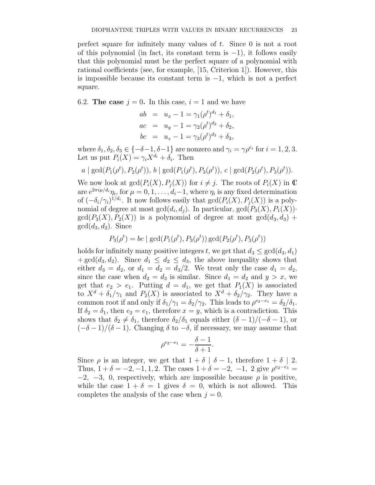perfect square for infinitely many values of  $t$ . Since 0 is not a root of this polynomial (in fact, its constant term is −1), it follows easily that this polynomial must be the perfect square of a polynomial with rational coefficients (see, for example, [15, Criterion 1]). However, this is impossible because its constant term is  $-1$ , which is not a perfect square.

6.2. The case  $j = 0$ . In this case,  $i = 1$  and we have

$$
ab = u_x - 1 = \gamma_1 (\rho^t)^{d_1} + \delta_1,
$$
  
\n
$$
ac = u_y - 1 = \gamma_2 (\rho^t)^{d_2} + \delta_2,
$$
  
\n
$$
bc = u_z - 1 = \gamma_3 (\rho^t)^{d_3} + \delta_3,
$$

where  $\delta_1, \delta_2, \delta_3 \in \{-\delta - 1, \delta - 1\}$  are nonzero and  $\gamma_i = \gamma \rho^{e_i}$  for  $i = 1, 2, 3$ . Let us put  $P_i(X) = \gamma_i X^{d_i} + \delta_i$ . Then

$$
a \mid \gcd(P_1(\rho^t), P_2(\rho^t)), b \mid \gcd(P_1(\rho^t), P_3(\rho^t)), c \mid \gcd(P_2(\rho^t), P_3(\rho^t)).
$$

We now look at  $gcd(P_i(X), P_i(X))$  for  $i \neq j$ . The roots of  $P_i(X)$  in  $\mathbb C$ are  $e^{2\pi i \mu/d_i}\eta_i$ , for  $\mu = 0, 1, \ldots, d_i-1$ , where  $\eta_i$  is any fixed determination of  $(-\delta_i/\gamma_i)^{1/d_i}$ . It now follows easily that  $gcd(P_i(X), P_j(X))$  is a polynomial of degree at most  $gcd(d_i, d_j)$ . In particular,  $gcd(P_3(X), P_1(X))$ .  $gcd(P_3(X), P_2(X))$  is a polynomial of degree at most  $gcd(d_3, d_3)$  +  $gcd(d_3, d_2)$ . Since

$$
P_3(\rho^t) = bc \mid \gcd(P_1(\rho^t), P_3(\rho^t)) \gcd(P_2(\rho^t), P_3(\rho^t))
$$

holds for infinitely many positive integers t, we get that  $d_3 \le \gcd(d_3, d_1)$ +  $gcd(d_3, d_2)$ . Since  $d_1 \leq d_2 \leq d_3$ , the above inequality shows that either  $d_3 = d_2$ , or  $d_1 = d_2 = d_3/2$ . We treat only the case  $d_1 = d_2$ , since the case when  $d_2 = d_3$  is similar. Since  $d_1 = d_2$  and  $y > x$ , we get that  $e_2 > e_1$ . Putting  $d = d_1$ , we get that  $P_1(X)$  is associated to  $X^d + \delta_1/\gamma_1$  and  $P_2(X)$  is associated to  $X^d + \delta_2/\gamma_2$ . They have a common root if and only if  $\delta_1/\gamma_1 = \delta_2/\gamma_2$ . This leads to  $\rho^{e_2-e_1} = \delta_2/\delta_1$ . If  $\delta_2 = \delta_1$ , then  $e_2 = e_1$ , therefore  $x = y$ , which is a contradiction. This shows that  $\delta_2 \neq \delta_1$ , therefore  $\delta_2/\delta_1$  equals either  $(\delta - 1)/(-\delta - 1)$ , or  $(-\delta - 1)/(\delta - 1)$ . Changing  $\delta$  to  $-\delta$ , if necessary, we may assume that

$$
\rho^{e_2 - e_1} = -\frac{\delta - 1}{\delta + 1}.
$$

Since  $\rho$  is an integer, we get that  $1 + \delta \mid \delta - 1$ , therefore  $1 + \delta \mid 2$ . Thus,  $1 + \delta = -2, -1, 1, 2$ . The cases  $1 + \delta = -2, -1, 2$  give  $\rho^{e_2 - e_1} =$  $-2$ ,  $-3$ , 0, respectively, which are impossible because  $\rho$  is positive, while the case  $1 + \delta = 1$  gives  $\delta = 0$ , which is not allowed. This completes the analysis of the case when  $j = 0$ .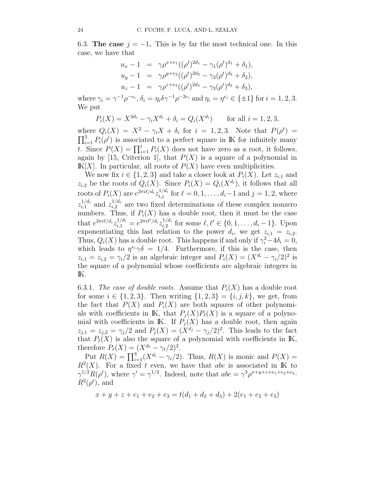6.3. The case  $j = -1$ . This is by far the most technical one. In this case, we have that

$$
u_x - 1 = \gamma \rho^{x+e_1} ((\rho^t)^{2d_1} - \gamma_1 (\rho^t)^{d_1} + \delta_1),
$$
  
\n
$$
u_y - 1 = \gamma \rho^{y+e_2} ((\rho^t)^{2d_2} - \gamma_2 (\rho^t)^{d_2} + \delta_2),
$$
  
\n
$$
u_z - 1 = \gamma \rho^{z+e_3} ((\rho^t)^{2d_3} - \gamma_3 (\rho^t)^{d_3} + \delta_3),
$$

where  $\gamma_i = \gamma^{-1} \rho^{-e_i}, \delta_i = \eta_i \delta \gamma^{-1} \rho^{-2e_i}$  and  $\eta_i = \eta^{e_i} \in {\pm 1}$  for  $i = 1, 2, 3$ . We put

$$
P_i(X) = X^{2d_i} - \gamma_i X^{d_i} + \delta_i = Q_i(X^{d_i}) \quad \text{for all } i = 1, 2, 3,
$$

where  $Q_i(X) = X^2 - \gamma_i X + \delta_i$  for  $i = 1, 2, 3$ . Note that  $P(\rho^t) =$  $\prod_{i=1}^{3} P_i(\rho^t)$  is associated to a perfect square in IK for infinitely many t. Since  $P(X) = \prod_{i=1}^{t} P_i(X)$  does not have zero as a root, it follows, again by [15, Criterion 1], that  $P(X)$  is a square of a polynomial in  $K[X]$ . In particular, all roots of  $P(X)$  have even multiplicities.

We now fix  $i \in \{1, 2, 3\}$  and take a closer look at  $P_i(X)$ . Let  $z_{i,1}$  and  $z_{i,2}$  be the roots of  $Q_i(X)$ . Since  $P_i(X) = Q_i(X^{d_i})$ , it follows that all roots of  $P_i(X)$  are  $e^{2\pi i\ell/d_i}z_{i,j}^{1/d_i}$  for  $\ell = 0, 1, \ldots, d_i-1$  and  $j = 1, 2$ , where  $z_{i.1}^{1/d_i}$  $_{i,1}^{1/d_i}$  and  $z_{i,2}^{1/d_i}$  $i_{i,2}^{1/a_i}$  are two fixed determinations of these complex nonzero numbers. Thus, if  $P_i(X)$  has a double root, then it must be the case that  $e^{2\pi i \ell/d_i} z_{i,1}^{1/d_i} = e^{2\pi i \ell'/d_i} z_{i,2}^{1/d_i}$  $i_{i,2}^{1/d_i}$  for some  $\ell, \ell' \in \{0, 1, \ldots, d_i - 1\}$ . Upon exponentiating this last relation to the power  $d_i$ , we get  $z_{i,1} = z_{i,2}$ . Thus,  $Q_i(X)$  has a double root. This happens if and only if  $\gamma_i^2 - 4\delta_i = 0$ , which leads to  $\eta^{e_i}\gamma\delta = 1/4$ . Furthermore, if this is the case, then  $z_{i,1} = z_{i,2} = \gamma_i/2$  is an algebraic integer and  $P_i(X) = (X^{d_i} - \gamma_i/2)^2$  is the square of a polynomial whose coefficients are algebraic integers in IK.

6.3.1. The case of double roots. Assume that  $P_i(X)$  has a double root for some  $i \in \{1, 2, 3\}$ . Then writing  $\{1, 2, 3\} = \{i, j, k\}$ , we get, from the fact that  $P(X)$  and  $P<sub>i</sub>(X)$  are both squares of other polynomials with coefficients in IK, that  $P_i(X)P_{\ell}(X)$  is a square of a polynomial with coefficients in K. If  $P_i(X)$  has a double root, then again  $z_{j,1} = z_{j,2} = \gamma_j/2$  and  $P_j(X) = (X^{d_j} - \gamma_j/2)^2$ . This leads to the fact that  $P_{\ell}(X)$  is also the square of a polynomial with coefficients in IK, therefore  $P_{\ell}(X) = (X^{d_{\ell}} - \gamma_{\ell}/2)^2$ .

Put  $R(X) = \prod_{i=1}^{3} (X^{d_i} - \gamma_i/2)$ . Thus,  $R(X)$  is monic and  $P(X) =$  $R^2(X)$ . For a fixed t even, we have that abc is associated in K to  $\gamma^{1/2}R(\rho^t)$ , where  $\gamma' = \gamma^{1/2}$ . Indeed, note that  $abc = \gamma^3 \rho^{x+y+z+e_1+e_2+e_3}$ .  $R^2(\rho^t)$ , and

$$
x + y + z + e_1 + e_2 + e_3 = t(d_1 + d_2 + d_3) + 2(e_1 + e_2 + e_3)
$$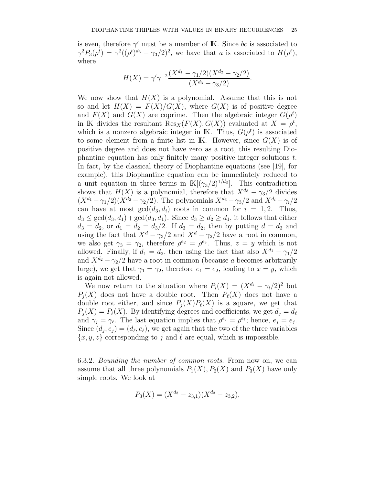is even, therefore  $\gamma'$  must be a member of K. Since bc is associated to  $\gamma^2 P_3(\rho^t) = \gamma^2 ((\rho^t)^{d_3} - \gamma_3/2)^2$ , we have that a is associated to  $H(\rho^t)$ , where

$$
H(X) = \gamma' \gamma^{-2} \frac{(X^{d_1} - \gamma_1/2)(X^{d_2} - \gamma_2/2)}{(X^{d_3} - \gamma_3/2)}.
$$

We now show that  $H(X)$  is a polynomial. Assume that this is not so and let  $H(X) = F(X)/G(X)$ , where  $G(X)$  is of positive degree and  $F(X)$  and  $G(X)$  are coprime. Then the algebraic integer  $G(\rho^t)$ in IK divides the resultant  $\text{Res}_X(F(X), G(X))$  evaluated at  $X = \rho^t$ , which is a nonzero algebraic integer in K. Thus,  $G(\rho^t)$  is associated to some element from a finite list in K. However, since  $G(X)$  is of positive degree and does not have zero as a root, this resulting Diophantine equation has only finitely many positive integer solutions t. In fact, by the classical theory of Diophantine equations (see [19], for example), this Diophantine equation can be immediately reduced to a unit equation in three terms in  $\mathbb{K}[(\gamma_3/2)^{1/d_3}]$ . This contradiction shows that  $H(X)$  is a polynomial, therefore that  $X^{d_3} - \gamma_3/2$  divides  $(X^{d_1} - \gamma_1/2)(X^{d_2} - \gamma_2/2)$ . The polynomials  $X^{d_3} - \gamma_3/2$  and  $X^{d_i} - \gamma_i/2$ can have at most  $gcd(d_3, d_i)$  roots in common for  $i = 1, 2$ . Thus,  $d_3 \le \gcd(d_3, d_1) + \gcd(d_3, d_1)$ . Since  $d_3 \ge d_2 \ge d_1$ , it follows that either  $d_3 = d_2$ , or  $d_1 = d_2 = d_3/2$ . If  $d_3 = d_2$ , then by putting  $d = d_3$  and using the fact that  $X^d - \gamma_3/2$  and  $X^d - \gamma_2/2$  have a root in common, we also get  $\gamma_3 = \gamma_2$ , therefore  $\rho^{e_2} = \rho^{e_3}$ . Thus,  $z = y$  which is not allowed. Finally, if  $d_1 = d_2$ , then using the fact that also  $X^{d_1} - \gamma_1/2$ and  $X^{d_2} - \gamma_2/2$  have a root in common (because a becomes arbitrarily large), we get that  $\gamma_1 = \gamma_2$ , therefore  $e_1 = e_2$ , leading to  $x = y$ , which is again not allowed.

We now return to the situation where  $P_i(X) = (X^{d_i} - \gamma_i/2)^2$  but  $P_i(X)$  does not have a double root. Then  $P_{\ell}(X)$  does not have a double root either, and since  $P_j(X)P_\ell(X)$  is a square, we get that  $P_i(X) = P_{\ell}(X)$ . By identifying degrees and coefficients, we get  $d_i = d_{\ell}$ and  $\gamma_j = \gamma_\ell$ . The last equation implies that  $\rho^{e_j} = \rho^{e_\ell}$ ; hence,  $e_j = e_j$ . Since  $(d_j, e_j) = (d_\ell, e_\ell)$ , we get again that the two of the three variables  $\{x, y, z\}$  corresponding to j and  $\ell$  are equal, which is impossible.

6.3.2. Bounding the number of common roots. From now on, we can assume that all three polynomials  $P_1(X)$ ,  $P_2(X)$  and  $P_3(X)$  have only simple roots. We look at

$$
P_3(X) = (X^{d_3} - z_{3,1})(X^{d_3} - z_{3,2}),
$$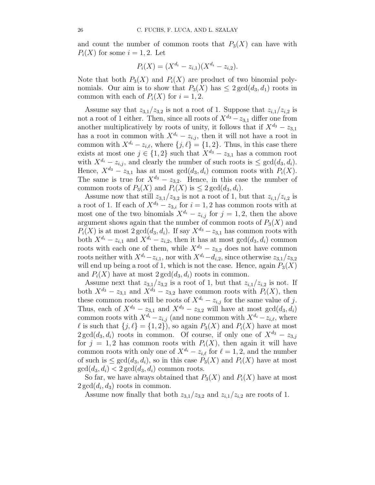and count the number of common roots that  $P_3(X)$  can have with  $P_i(X)$  for some  $i = 1, 2$ . Let

$$
P_i(X) = (X^{d_i} - z_{i,1})(X^{d_i} - z_{i,2}).
$$

Note that both  $P_3(X)$  and  $P_i(X)$  are product of two binomial polynomials. Our aim is to show that  $P_3(X)$  has  $\leq 2 \gcd(d_3, d_1)$  roots in common with each of  $P_i(X)$  for  $i = 1, 2$ .

Assume say that  $z_{3,1}/z_{3,2}$  is not a root of 1. Suppose that  $z_{i,1}/z_{i,2}$  is not a root of 1 either. Then, since all roots of  $X^{d_3} - z_{3,1}$  differ one from another multiplicatively by roots of unity, it follows that if  $X^{d_3} - z_{3,1}$ has a root in common with  $X^{d_i} - z_{i,i}$ , then it will not have a root in common with  $X^{d_i} - z_{i,\ell}$ , where  $\{j,\ell\} = \{1,2\}$ . Thus, in this case there exists at most one  $j \in \{1,2\}$  such that  $X^{d_3} - z_{3,1}$  has a common root with  $X^{d_i} - z_{i,j}$ , and clearly the number of such roots is  $\leq \gcd(d_3, d_i)$ . Hence,  $X^{d_3} - z_{3,1}$  has at most  $gcd(d_3, d_i)$  common roots with  $P_i(X)$ . The same is true for  $X^{d_3} - z_{3,2}$ . Hence, in this case the number of common roots of  $P_3(X)$  and  $P_i(X)$  is  $\leq 2 \gcd(d_3, d_i)$ .

Assume now that still  $z_{3,1}/z_{3,2}$  is not a root of 1, but that  $z_{i,1}/z_{i,2}$  is a root of 1. If each of  $X^{d_3} - z_{3,i}$  for  $i = 1, 2$  has common roots with at most one of the two binomials  $X^{d_i} - z_{i,j}$  for  $j = 1, 2$ , then the above argument shows again that the number of common roots of  $P_3(X)$  and  $P_i(X)$  is at most  $2 \gcd(d_3, d_i)$ . If say  $X^{d_3} - z_{3,1}$  has common roots with both  $X^{d_i} - z_{i,1}$  and  $X^{d_i} - z_{i,2}$ , then it has at most  $gcd(d_3, d_i)$  common roots with each one of them, while  $X^{d_3} - z_{3,2}$  does not have common roots neither with  $X^{d_i} - z_{i,1}$ , nor with  $X^{d_i} - d_{i,2}$ , since otherwise  $z_{3,1}/z_{3,2}$ will end up being a root of 1, which is not the case. Hence, again  $P_3(X)$ and  $P_i(X)$  have at most  $2 \gcd(d_3, d_i)$  roots in common.

Assume next that  $z_{3,1}/z_{3,2}$  is a root of 1, but that  $z_{i,1}/z_{i,2}$  is not. If both  $X^{d_3} - z_{3,1}$  and  $X^{d_3} - z_{3,2}$  have common roots with  $P_i(X)$ , then these common roots will be roots of  $X^{d_i} - z_{i,j}$  for the same value of j. Thus, each of  $X^{d_3} - z_{3,1}$  and  $X^{d_3} - z_{3,2}$  will have at most  $gcd(d_3, d_i)$ common roots with  $X^{d_i} - z_{i,j}$  (and none common with  $X^{d_i} - z_{i,\ell}$ , where  $\ell$  is such that  ${j, \ell} = {1, 2}$ , so again  $P_3(X)$  and  $P_i(X)$  have at most  $2 \gcd(d_3, d_i)$  roots in common. Of course, if only one of  $X^{d_3} - z_{3,i}$ for  $j = 1, 2$  has common roots with  $P_i(X)$ , then again it will have common roots with only one of  $X^{d_i} - z_{i,\ell}$  for  $\ell = 1, 2$ , and the number of such is  $\leq \gcd(d_3, d_i)$ , so in this case  $P_3(X)$  and  $P_i(X)$  have at most  $\gcd(d_3, d_i) < 2 \gcd(d_3, d_i)$  common roots.

So far, we have always obtained that  $P_3(X)$  and  $P_i(X)$  have at most  $2 \gcd(d_i, d_3)$  roots in common.

Assume now finally that both  $z_{3,1}/z_{3,2}$  and  $z_{i,1}/z_{i,2}$  are roots of 1.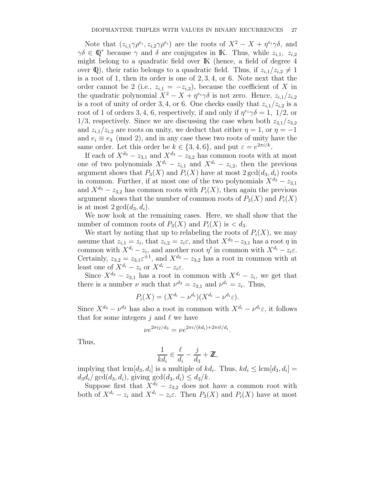Note that  $(z_{i,1}\gamma\rho^{e_i}, z_{i,2}\gamma\rho^{e_i})$  are the roots of  $X^2 - X + \eta^{e_i}\gamma\delta$ , and  $\gamma\delta \in \mathbb{Q}^*$  because  $\gamma$  and  $\delta$  are conjugates in K. Thus, while  $z_{i,1}$ ,  $z_{i,2}$ might belong to a quadratic field over IK (hence, a field of degree 4 over Q), their ratio belongs to a quadratic field. Thus, if  $z_{i,1}/z_{i,2} \neq 1$ is a root of 1, then its order is one of 2, 3, 4, or 6. Note next that the order cannot be 2 (i.e.,  $z_{i,1} = -z_{i,2}$ ), because the coefficient of X in the quadratic polynomial  $X^2 - X + \eta^{e_i} \gamma \delta$  is not zero. Hence,  $z_{i,1}/z_{i,2}$ is a root of unity of order 3, 4, or 6. One checks easily that  $z_{i,1}/z_{i,2}$  is a root of 1 of orders 3, 4, 6, respectively, if and only if  $\eta^{e_i}\gamma\delta = 1$ , 1/2, or  $1/3$ , respectively. Since we are discussing the case when both  $z_{3,1}/z_{3,2}$ and  $z_{i,1}/z_{i,2}$  are roots on unity, we deduct that either  $\eta = 1$ , or  $\eta = -1$ and  $e_i \equiv e_3 \pmod{2}$ , and in any case these two roots of unity have the same order. Let this order be  $k \in \{3, 4, 6\}$ , and put  $\varepsilon = e^{2\pi i/k}$ .

If each of  $X^{d_3} - z_{3,1}$  and  $X^{d_3} - z_{3,2}$  has common roots with at most one of two polynomials  $X^{d_i} - z_{i,1}$  and  $X^{d_i} - z_{i,2}$ , then the previous argument shows that  $P_3(X)$  and  $P_i(X)$  have at most  $2 \gcd(d_3, d_i)$  roots in common. Further, if at most one of the two polynomials  $X^{d_3} - z_{3,1}$ and  $X^{d_3} - z_{3,2}$  has common roots with  $P_i(X)$ , then again the previous argument shows that the number of common roots of  $P_3(X)$  and  $P_i(X)$ is at most  $2 \gcd(d_3, d_i)$ .

We now look at the remaining cases. Here, we shall show that the number of common roots of  $P_3(X)$  and  $P_i(X)$  is  $\langle d_3, d_4 \rangle$ .

We start by noting that up to relabeling the roots of  $P_i(X)$ , we may assume that  $z_{i,1} = z_i$ , that  $z_{i,2} = z_i \varepsilon$ , and that  $X^{d_3} - z_{3,1}$  has a root  $\eta$  in common with  $X^{d_i} - z_i$ , and another root  $\eta'$  in common with  $X^{d_i} - z_i \varepsilon$ . Certainly,  $z_{3,2} = z_{3,1} \varepsilon^{\pm 1}$ , and  $X^{d_3} - z_{3,2}$  has a root in common with at least one of  $X^{d_i} - z_i$  or  $X^{d_i} - z_i \varepsilon$ .

Since  $X^{d_3} - z_{3,1}$  has a root in common with  $X^{d_i} - z_i$ , we get that there is a number  $\nu$  such that  $\nu^{d_3} = z_{3,1}$  and  $\nu^{d_i} = z_i$ . Thus,

$$
P_i(X) = (X^{d_i} - \nu^{d_i})(X^{d_i} - \nu^{d_i}\varepsilon).
$$

Since  $X^{d_3} - \nu^{d_3}$  has also a root in common with  $X^{d_i} - \nu^{d_i} \varepsilon$ , it follows that for some integers  $j$  and  $\ell$  we have

$$
\nu e^{2\pi i j/d_3} = \nu e^{2\pi i/(kd_i) + 2\pi i \ell/d_i}.
$$

Thus,

$$
\frac{1}{kd_i} \in \frac{\ell}{d_i} - \frac{j}{d_3} + \mathbb{Z},
$$

implying that  $\text{lcm}[d_3, d_i]$  is a multiple of  $kd_i$ . Thus,  $kd_i \leq \text{lcm}[d_3, d_i] =$  $d_3d_i/\gcd(d_3, d_i)$ , giving  $\gcd(d_3, d_i) \leq d_3/k$ .

Suppose first that  $X^{d_3} - z_{3,2}$  does not have a common root with both of  $X^{d_i} - z_i$  and  $X^{d_i} - z_i \varepsilon$ . Then  $P_3(X)$  and  $P_i(X)$  have at most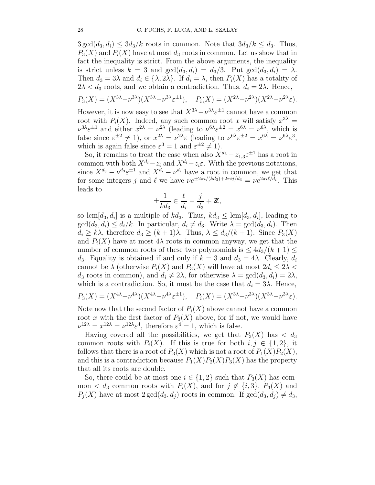$3 \gcd(d_3, d_i) \leq 3d_3/k$  roots in common. Note that  $3d_3/k \leq d_3$ . Thus,  $P_3(X)$  and  $P_i(X)$  have at most  $d_3$  roots in common. Let us show that in fact the inequality is strict. From the above arguments, the inequality is strict unless  $k = 3$  and  $gcd(d_3, d_i) = d_3/3$ . Put  $gcd(d_3, d_i) = \lambda$ . Then  $d_3 = 3\lambda$  and  $d_i \in {\lambda, 2\lambda}$ . If  $d_i = \lambda$ , then  $P_i(X)$  has a totality of  $2\lambda < d_3$  roots, and we obtain a contradiction. Thus,  $d_i = 2\lambda$ . Hence,

$$
P_3(X) = (X^{3\lambda} - \nu^{3\lambda})(X^{3\lambda} - \nu^{3\lambda}\varepsilon^{\pm 1}), \quad P_i(X) = (X^{2\lambda} - \nu^{2\lambda})(X^{2\lambda} - \nu^{2\lambda}\varepsilon).
$$

However, it is now easy to see that  $X^{3\lambda} - \nu^{3\lambda} \varepsilon^{\pm 1}$  cannot have a common root with  $P_i(X)$ . Indeed, any such common root x will satisfy  $x^{3\lambda} =$  $\nu^{3\lambda} \varepsilon^{\pm 1}$  and either  $x^{2\lambda} = \nu^{2\lambda}$  (leading to  $\nu^{6\lambda} \varepsilon^{\pm 2} = x^{6\lambda} = \nu^{6\lambda}$ , which is false since  $\varepsilon^{\pm 2} \neq 1$ , or  $x^{2\lambda} = \nu^{2\lambda} \varepsilon$  (leading to  $\nu^{6\lambda} \varepsilon^{\pm 2} = x^{6\lambda} = \nu^{6\lambda} \varepsilon^3$ , which is again false since  $\varepsilon^3 = 1$  and  $\varepsilon^{\pm 2} \neq 1$ .

So, it remains to treat the case when also  $X^{d_3} - z_{1,3} \varepsilon^{\pm 1}$  has a root in common with both  $X^{d_i} - z_i$  and  $X^{d_i} - z_i \varepsilon$ . With the previous notations, since  $X^{d_3} - \nu^{d_3} \varepsilon^{\pm 1}$  and  $X^{d_i} - \nu^{d_i}$  have a root in common, we get that for some integers j and  $\ell$  we have  $\nu e^{\pm 2\pi i/(kd_3)+2\pi i j/d_3} = \nu e^{2\pi i \ell/d_i}$ . This leads to

$$
\pm \frac{1}{kd_3} \in \frac{\ell}{d_i} - \frac{j}{d_3} + \mathbb{Z},
$$

so lcm $[d_3, d_i]$  is a multiple of  $kd_3$ . Thus,  $kd_3 \leq \text{lcm}[d_3, d_i]$ , leading to  $\gcd(d_3, d_i) \leq d_i/k$ . In particular,  $d_i \neq d_3$ . Write  $\lambda = \gcd(d_3, d_i)$ . Then  $d_i \geq k\lambda$ , therefore  $d_3 \geq (k+1)\lambda$ . Thus,  $\lambda \leq d_3/(k+1)$ . Since  $P_3(X)$ and  $P_i(X)$  have at most  $4\lambda$  roots in common anyway, we get that the number of common roots of these two polynomials is  $\leq 4d_3/(k+1)$ d<sub>3</sub>. Equality is obtained if and only if  $k = 3$  and  $d_3 = 4\lambda$ . Clearly,  $d_i$ cannot be  $\lambda$  (otherwise  $P_i(X)$  and  $P_3(X)$  will have at most  $2d_i \leq 2\lambda$  $d_3$  roots in common), and  $d_i \neq 2\lambda$ , for otherwise  $\lambda = \gcd(d_3, d_i) = 2\lambda$ , which is a contradiction. So, it must be the case that  $d_i = 3\lambda$ . Hence,

$$
P_3(X) = (X^{4\lambda} - \nu^{4\lambda})(X^{4\lambda} - \nu^{4\lambda}\varepsilon^{\pm 1}), \quad P_i(X) = (X^{3\lambda} - \nu^{3\lambda})(X^{3\lambda} - \nu^{3\lambda}\varepsilon).
$$

Note now that the second factor of  $P_i(X)$  above cannot have a common root x with the first factor of  $P_3(X)$  above, for if not, we would have  $\nu^{12\lambda} = x^{12\lambda} = \nu^{12\lambda} \varepsilon^4$ , therefore  $\varepsilon^4 = 1$ , which is false.

Having covered all the possibilities, we get that  $P_3(X)$  has  $\langle d_3 \rangle$ common roots with  $P_i(X)$ . If this is true for both  $i, j \in \{1, 2\}$ , it follows that there is a root of  $P_3(X)$  which is not a root of  $P_1(X)P_2(X)$ , and this is a contradiction because  $P_1(X)P_2(X)P_3(X)$  has the property that all its roots are double.

So, there could be at most one  $i \in \{1,2\}$  such that  $P_3(X)$  has common < d<sub>3</sub> common roots with  $P_i(X)$ , and for  $j \notin \{i,3\}$ ,  $P_3(X)$  and  $P_i(X)$  have at most  $2 \gcd(d_3, d_i)$  roots in common. If  $\gcd(d_3, d_i) \neq d_3$ ,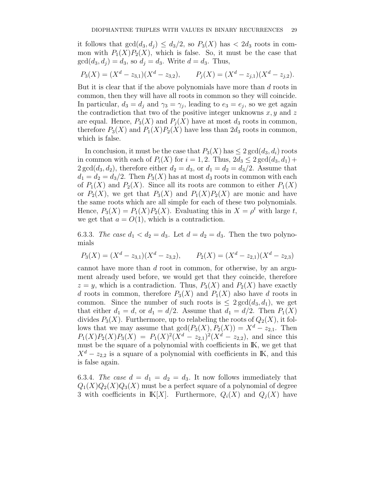it follows that  $gcd(d_3, d_1) \leq d_3/2$ , so  $P_3(X)$  has  $\lt 2d_3$  roots in common with  $P_1(X)P_2(X)$ , which is false. So, it must be the case that  $gcd(d_3, d_1) = d_3$ , so  $d_1 = d_3$ . Write  $d = d_3$ . Thus,

$$
P_3(X) = (X^d - z_{3,1})(X^d - z_{3,2}), \qquad P_j(X) = (X^d - z_{j,1})(X^d - z_{j,2}).
$$

But it is clear that if the above polynomials have more than d roots in common, then they will have all roots in common so they will coincide. In particular,  $d_3 = d_j$  and  $\gamma_3 = \gamma_j$ , leading to  $e_3 = e_j$ , so we get again the contradiction that two of the positive integer unknowns  $x, y$  and z are equal. Hence,  $P_3(X)$  and  $P_i(X)$  have at most  $d_3$  roots in common, therefore  $P_3(X)$  and  $P_1(X)P_2(X)$  have less than  $2d_3$  roots in common, which is false.

In conclusion, it must be the case that  $P_3(X)$  has  $\leq 2 \gcd(d_3, d_i)$  roots in common with each of  $P_i(X)$  for  $i = 1, 2$ . Thus,  $2d_3 \leq 2 \gcd(d_3, d_1) +$  $2 \gcd(d_3, d_2)$ , therefore either  $d_2 = d_3$ , or  $d_1 = d_2 = d_3/2$ . Assume that  $d_1 = d_2 = d_3/2$ . Then  $P_3(X)$  has at most  $d_3$  roots in common with each of  $P_1(X)$  and  $P_2(X)$ . Since all its roots are common to either  $P_1(X)$ or  $P_2(X)$ , we get that  $P_3(X)$  and  $P_1(X)P_2(X)$  are monic and have the same roots which are all simple for each of these two polynomials. Hence,  $P_3(X) = P_1(X)P_2(X)$ . Evaluating this in  $X = \rho^t$  with large t, we get that  $a = O(1)$ , which is a contradiction.

6.3.3. The case  $d_1 < d_2 = d_3$ . Let  $d = d_2 = d_3$ . Then the two polynomials

$$
P_3(X) = (X^d - z_{3,1})(X^d - z_{3,2}), \qquad P_2(X) = (X^d - z_{2,1})(X^d - z_{2,3})
$$

cannot have more than d root in common, for otherwise, by an argument already used before, we would get that they coincide, therefore  $z = y$ , which is a contradiction. Thus,  $P_3(X)$  and  $P_2(X)$  have exactly d roots in common, therefore  $P_3(X)$  and  $P_1(X)$  also have d roots in common. Since the number of such roots is  $\leq 2 \gcd(d_3, d_1)$ , we get that either  $d_1 = d$ , or  $d_1 = d/2$ . Assume that  $d_1 = d/2$ . Then  $P_1(X)$ divides  $P_3(X)$ . Furthermore, up to relabeling the roots of  $Q_2(X)$ , it follows that we may assume that  $gcd(P_3(X), P_2(X)) = X^d - z_{2,1}$ . Then  $P_1(X)P_2(X)P_3(X) = P_1(X)^2(X^d - z_{2,1})^2(X^d - z_{2,2})$ , and since this must be the square of a polynomial with coefficients in  $I\!K$ , we get that  $X^d - z_{2,2}$  is a square of a polynomial with coefficients in K, and this is false again.

6.3.4. The case  $d = d_1 = d_2 = d_3$ . It now follows immediately that  $Q_1(X)Q_2(X)Q_3(X)$  must be a perfect square of a polynomial of degree 3 with coefficients in  $K[X]$ . Furthermore,  $Q_i(X)$  and  $Q_i(X)$  have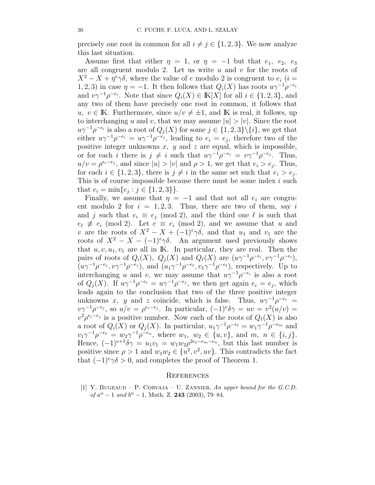precisely one root in common for all  $i \neq j \in \{1, 2, 3\}$ . We now analyze this last situation.

Assume first that either  $\eta = 1$ , or  $\eta = -1$  but that  $e_1, e_2, e_3$ are all congruent modulo 2. Let us write  $u$  and  $v$  for the roots of  $X^2 - X + \eta^e \gamma \delta$ , where the value of e modulo 2 is congruent to  $e_i$  (i = 1, 2, 3) in case  $\eta = -1$ . It then follows that  $Q_i(X)$  has roots  $u\gamma^{-1}\rho^{-e_i}$ and  $v\gamma^{-1}\rho^{-e_i}$ . Note that since  $Q_i(X) \in K[X]$  for all  $i \in \{1, 2, 3\}$ , and any two of them have precisely one root in common, it follows that u, v ∈ K. Furthermore, since  $u/v \neq \pm 1$ , and K is real, it follows, up to interchanging u and v, that we may assume  $|u| > |v|$ . Since the root  $u\gamma^{-1}\rho^{-e_i}$  is also a root of  $Q_j(X)$  for some  $j \in \{1, 2, 3\} \setminus \{i\}$ , we get that either  $u\gamma^{-1}\rho^{-e_i} = u\gamma^{-1}\rho^{-e_j}$ , leading to  $e_i = e_j$ , therefore two of the positive integer unknowns  $x$ ,  $y$  and  $z$  are equal, which is impossible, or for each i there is  $j \neq i$  such that  $u\gamma^{-1}\rho^{-e_i} = v\gamma^{-1}\rho^{-e_j}$ . Thus,  $u/v = \rho^{e_i-e_j}$ , and since  $|u| > |v|$  and  $\rho > 1$ , we get that  $e_i > e_j$ . Thus, for each  $i \in \{1,2,3\}$ , there is  $j \neq i$  in the same set such that  $e_i > e_j$ . This is of course impossible because there must be some index  $i$  such that  $e_i = \min\{e_j : j \in \{1, 2, 3\}\}.$ 

Finally, we assume that  $\eta = -1$  and that not all  $e_i$  are congruent modulo 2 for  $i = 1, 2, 3$ . Thus, there are two of them, say i and j such that  $e_i \equiv e_j \pmod{2}$ , and the third one  $\ell$  is such that  $e_{\ell} \not\equiv e_i \pmod{2}$ . Let  $e \equiv e_i \pmod{2}$ , and we assume that u and v are the roots of  $X^2 - X + (-1)^e \gamma \delta$ , and that  $u_1$  and  $v_1$  are the roots of  $X^2 - X - (-1)^e \gamma \delta$ . An argument used previously shows that  $u, v, u_1, v_1$  are all in K. In particular, they are real. Then the pairs of roots of  $Q_i(X)$ ,  $Q_j(X)$  and  $Q_\ell(X)$  are  $(u\gamma^{-1}\rho^{-e_i}, v\gamma^{-1}\rho^{-e_i}),$  $(u\gamma^{-1}\rho^{-e_j}, v\gamma^{-1}\rho^{-e_j}),$  and  $(u_1\gamma^{-1}\rho^{-e_\ell}, v_1\gamma^{-1}\rho^{-e_\ell}),$  respectively. Up to interchanging u and v, we may assume that  $u\gamma^{-1}\rho^{-e_i}$  is also a root of  $Q_j(X)$ . If  $u\gamma^{-1}\rho^{-e_i} = u\gamma^{-1}\rho^{-e_j}$ , we then get again  $e_i = e_j$ , which leads again to the conclusion that two of the three positive integer unknowns x, y and z coincide, which is false. Thus,  $u\gamma^{-1}\rho^{-e_i}$  =  $v\gamma^{-1}\rho^{-e_j}$ , so  $u/v = \rho^{e_i-e_j}$ . In particular,  $(-1)^e\delta\gamma = uv = v^2(u/v)$  $v^2 \rho^{e_i-e_j}$  is a positive number. Now each of the roots of  $Q_\ell(X)$  is also a root of  $Q_i(X)$  or  $Q_j(X)$ . In particular,  $u_1 \gamma^{-1} \rho^{-e_\ell} = w_1 \gamma^{-1} \rho^{-e_m}$  and  $v_1\gamma^{-1}\rho^{-e_{\ell}} = w_2\gamma^{-1}\rho^{-e_n}$ , where  $w_1, w_2 \in \{u, v\}$ , and  $m, n \in \{i, j\}$ . Hence,  $(-1)^{e+1}\delta\gamma = u_1v_1 = w_1w_2\rho^{2e_e-e_m-e_n}$ , but this last number is positive since  $\rho > 1$  and  $w_1 w_2 \in \{u^2, v^2, uv\}$ . This contradicts the fact that  $(-1)^{e}\gamma\delta > 0$ , and completes the proof of Theorem 1.

#### **REFERENCES**

[1] Y. BUGEAUD – P. CORVAJA – U. ZANNIER, An upper bound for the  $G.C.D.$ of  $a^n - 1$  and  $b^n - 1$ , Math. Z. 243 (2003), 79-84.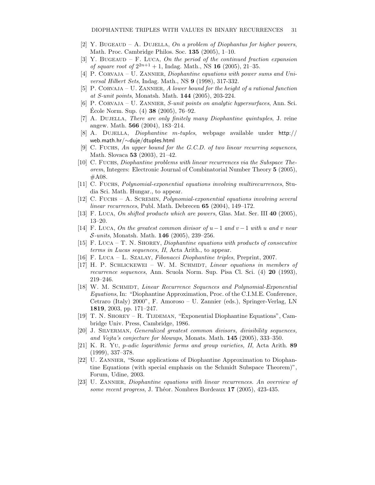- [2] Y. BUGEAUD A. DUJELLA, On a problem of Diophantus for higher powers, Math. Proc. Cambridge Philos. Soc. 135 (2005), 1–10.
- [3] Y. BUGEAUD F. LUCA, On the period of the continued fraction expansion of square root of  $2^{2n+1} + 1$ , Indag. Math., NS 16 (2005), 21-35.
- [4] P. CORVAJA U. ZANNIER, Diophantine equations with power sums and Universal Hilbert Sets, Indag. Math., NS 9 (1998), 317-332.
- [5] P. CORVAJA U. ZANNIER, A lower bound for the height of a rational function at S-unit points, Monatsh. Math. 144 (2005), 203-224.
- [6] P. CORVAJA U. ZANNIER, S-unit points on analytic hypersurfaces, Ann. Sci. École Norm. Sup.  $(4)$  38  $(2005)$ , 76-92.
- [7] A. DUJELLA, There are only finitely many Diophantine quintuples, J. reine angew. Math. 566 (2004), 183–214.
- [8] A. Dujella, Diophantine m-tuples, webpage available under http:// web.math.hr/∼duje/dtuples.html
- [9] C. FUCHS, An upper bound for the G.C.D. of two linear recurring sequences, Math. Slovaca 53 (2003), 21–42.
- [10] C. Fuchs, Diophantine problems with linear recurrences via the Subspace Theorem, Integers: Electronic Journal of Combinatorial Number Theory 5 (2005), #A08.
- [11] C. Fuchs, Polynomial-exponential equations involving multirecurrences, Studia Sci. Math. Hungar., to appear.
- [12] C. Fuchs A. Scremin, Polynomial-exponential equations involving several linear recurrences, Publ. Math. Debrecen 65 (2004), 149–172.
- [13] F. Luca, On shifted products which are powers, Glas. Mat. Ser. III 40 (2005), 13–20.
- [14] F. Luca, On the greatest common divisor of  $u-1$  and  $v-1$  with u and v near  $\mathcal{S}\text{-}units, \text{Monatsh. Math. } 146 (2005), 239-256.$
- [15] F. Luca T. N. Shorey, Diophantine equations with products of consecutive terms in Lucas sequences, II, Acta Arith., to appear.
- [16] F. Luca L. Szalay, Fibonacci Diophantine triples, Preprint, 2007.
- [17] H. P. SCHLICKEWEI W. M. SCHMIDT, Linear equations in members of recurrence sequences, Ann. Scuola Norm. Sup. Pisa Cl. Sci. (4) 20 (1993), 219–246.
- [18] W. M. SCHMIDT, Linear Recurrence Sequences and Polynomial-Exponential Equations, In: "Diophantine Approximation, Proc. of the C.I.M.E. Conference, Cetraro (Italy) 2000", F. Amoroso – U. Zannier (eds.), Springer-Verlag, LN 1819, 2003, pp. 171–247.
- [19] T. N. Shorey R. Tijdeman, "Exponential Diophantine Equations", Cambridge Univ. Press, Cambridge, 1986.
- [20] J. SILVERMAN, *Generalized greatest common divisors, divisibility sequences*, and Vojta's conjecture for blowups, Monats. Math. 145 (2005), 333–350.
- [21] K. R. Yu, p-adic logarithmic forms and group varieties, II, Acta Arith. 89 (1999), 337–378.
- [22] U. ZANNIER, "Some applications of Diophantine Approximation to Diophantine Equations (with special emphasis on the Schmidt Subspace Theorem)", Forum, Udine, 2003.
- [23] U. Zannier, Diophantine equations with linear recurrences. An overview of some recent progress, J. Théor. Nombres Bordeaux  $17$  (2005), 423-435.